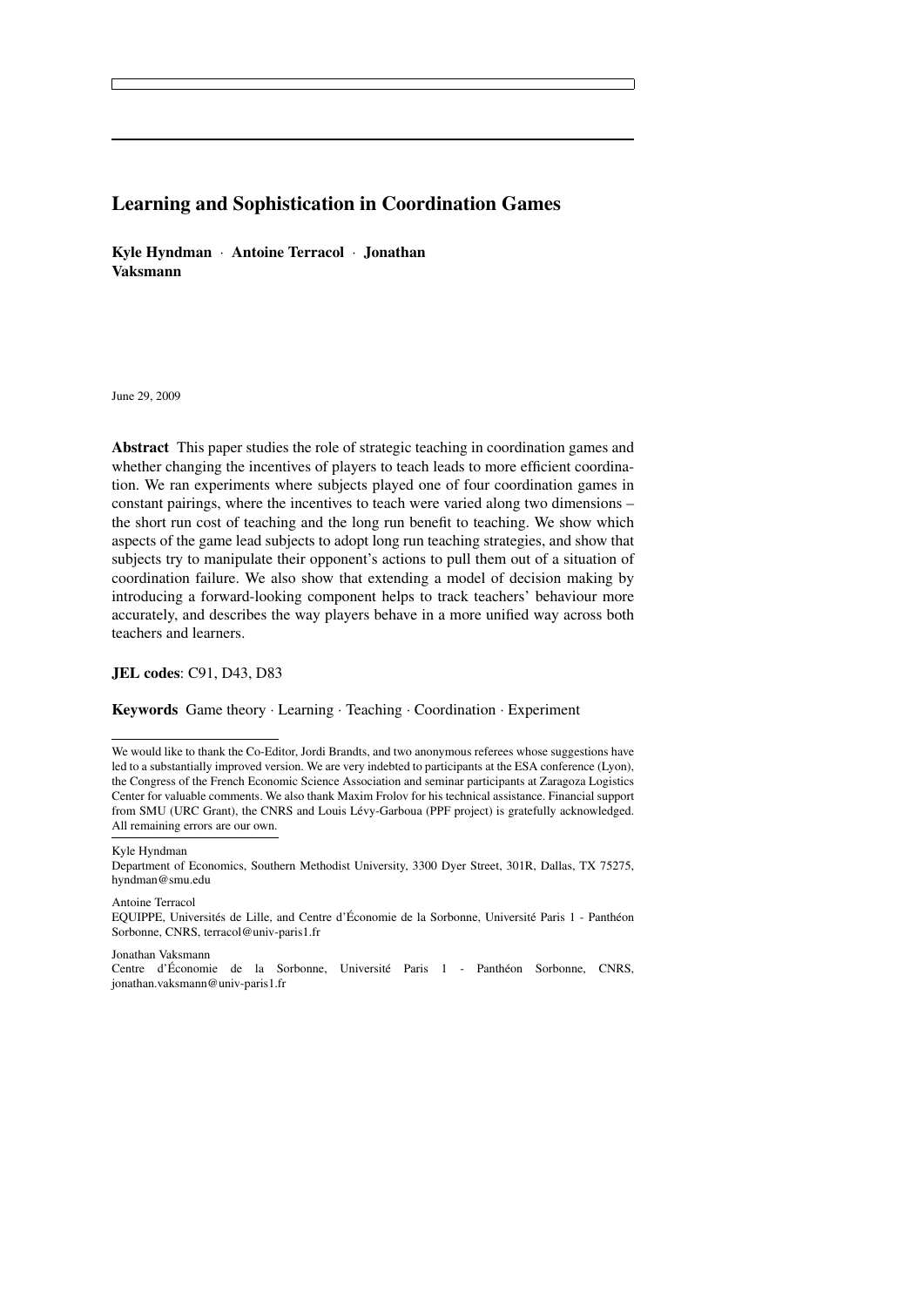# Learning and Sophistication in Coordination Games

Kyle Hyndman · Antoine Terracol · Jonathan Vaksmann

June 29, 2009

Abstract This paper studies the role of strategic teaching in coordination games and whether changing the incentives of players to teach leads to more efficient coordination. We ran experiments where subjects played one of four coordination games in constant pairings, where the incentives to teach were varied along two dimensions – the short run cost of teaching and the long run benefit to teaching. We show which aspects of the game lead subjects to adopt long run teaching strategies, and show that subjects try to manipulate their opponent's actions to pull them out of a situation of coordination failure. We also show that extending a model of decision making by introducing a forward-looking component helps to track teachers' behaviour more accurately, and describes the way players behave in a more unified way across both teachers and learners.

JEL codes: C91, D43, D83

Keywords Game theory · Learning · Teaching · Coordination · Experiment

Kyle Hyndman

Antoine Terracol EQUIPPE, Universités de Lille, and Centre d'Économie de la Sorbonne, Université Paris 1 - Panthéon Sorbonne, CNRS, terracol@univ-paris1.fr

Jonathan Vaksmann Centre d'Économie de la Sorbonne, Université Paris 1 - Panthéon Sorbonne, CNRS, jonathan.vaksmann@univ-paris1.fr

We would like to thank the Co-Editor, Jordi Brandts, and two anonymous referees whose suggestions have led to a substantially improved version. We are very indebted to participants at the ESA conference (Lyon), the Congress of the French Economic Science Association and seminar participants at Zaragoza Logistics Center for valuable comments. We also thank Maxim Frolov for his technical assistance. Financial support from SMU (URC Grant), the CNRS and Louis Lévy-Garboua (PPF project) is gratefully acknowledged. All remaining errors are our own.

Department of Economics, Southern Methodist University, 3300 Dyer Street, 301R, Dallas, TX 75275, hyndman@smu.edu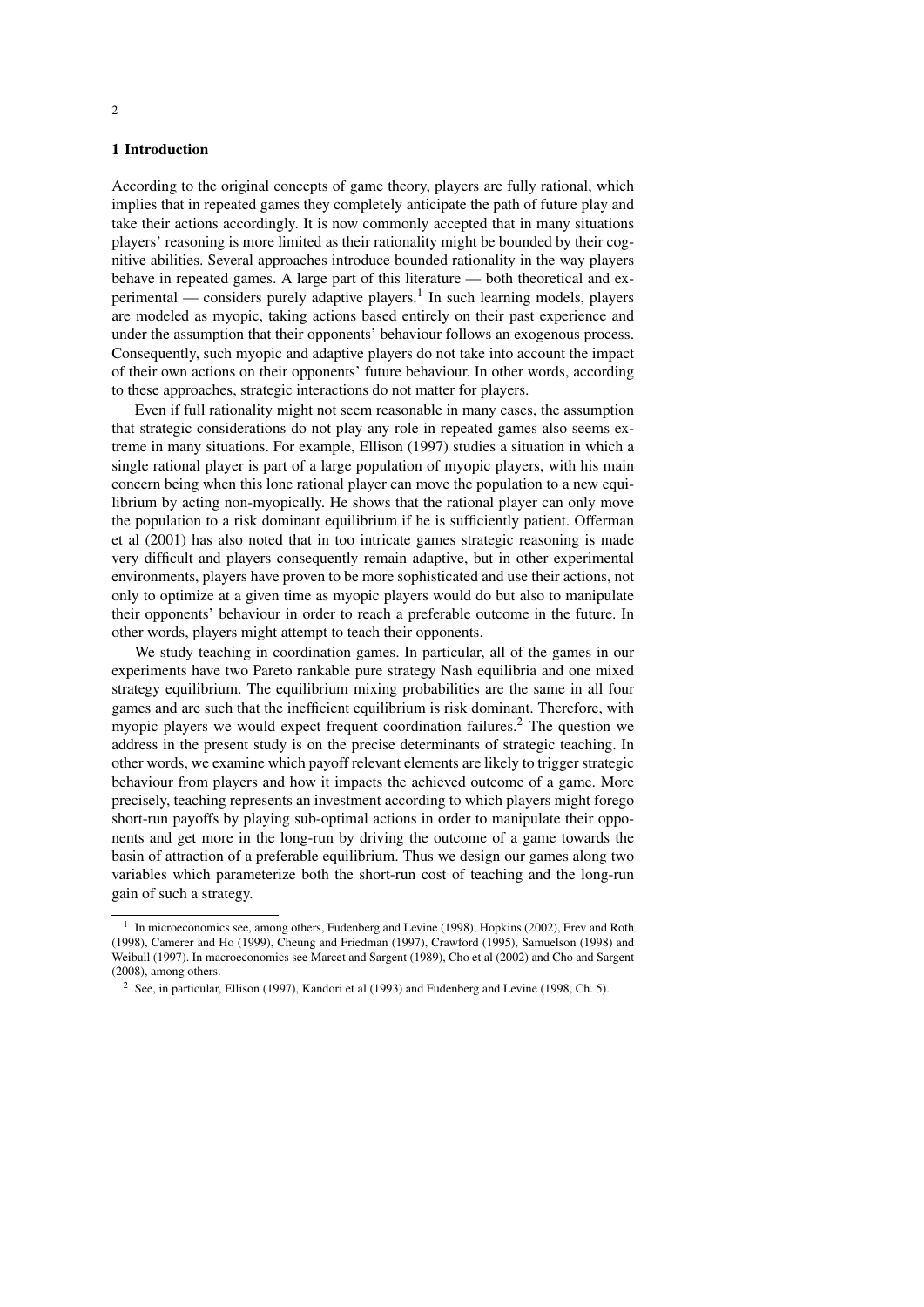### 1 Introduction

According to the original concepts of game theory, players are fully rational, which implies that in repeated games they completely anticipate the path of future play and take their actions accordingly. It is now commonly accepted that in many situations players' reasoning is more limited as their rationality might be bounded by their cognitive abilities. Several approaches introduce bounded rationality in the way players behave in repeated games. A large part of this literature — both theoretical and experimental — considers purely adaptive players.<sup>1</sup> In such learning models, players are modeled as myopic, taking actions based entirely on their past experience and under the assumption that their opponents' behaviour follows an exogenous process. Consequently, such myopic and adaptive players do not take into account the impact of their own actions on their opponents' future behaviour. In other words, according to these approaches, strategic interactions do not matter for players.

Even if full rationality might not seem reasonable in many cases, the assumption that strategic considerations do not play any role in repeated games also seems extreme in many situations. For example, Ellison (1997) studies a situation in which a single rational player is part of a large population of myopic players, with his main concern being when this lone rational player can move the population to a new equilibrium by acting non-myopically. He shows that the rational player can only move the population to a risk dominant equilibrium if he is sufficiently patient. Offerman et al (2001) has also noted that in too intricate games strategic reasoning is made very difficult and players consequently remain adaptive, but in other experimental environments, players have proven to be more sophisticated and use their actions, not only to optimize at a given time as myopic players would do but also to manipulate their opponents' behaviour in order to reach a preferable outcome in the future. In other words, players might attempt to teach their opponents.

We study teaching in coordination games. In particular, all of the games in our experiments have two Pareto rankable pure strategy Nash equilibria and one mixed strategy equilibrium. The equilibrium mixing probabilities are the same in all four games and are such that the inefficient equilibrium is risk dominant. Therefore, with myopic players we would expect frequent coordination failures.<sup>2</sup> The question we address in the present study is on the precise determinants of strategic teaching. In other words, we examine which payoff relevant elements are likely to trigger strategic behaviour from players and how it impacts the achieved outcome of a game. More precisely, teaching represents an investment according to which players might forego short-run payoffs by playing sub-optimal actions in order to manipulate their opponents and get more in the long-run by driving the outcome of a game towards the basin of attraction of a preferable equilibrium. Thus we design our games along two variables which parameterize both the short-run cost of teaching and the long-run gain of such a strategy.

<sup>&</sup>lt;sup>1</sup> In microeconomics see, among others, Fudenberg and Levine (1998), Hopkins (2002), Erev and Roth (1998), Camerer and Ho (1999), Cheung and Friedman (1997), Crawford (1995), Samuelson (1998) and Weibull (1997). In macroeconomics see Marcet and Sargent (1989), Cho et al (2002) and Cho and Sargent (2008), among others.

<sup>&</sup>lt;sup>2</sup> See, in particular, Ellison (1997), Kandori et al (1993) and Fudenberg and Levine (1998, Ch. 5).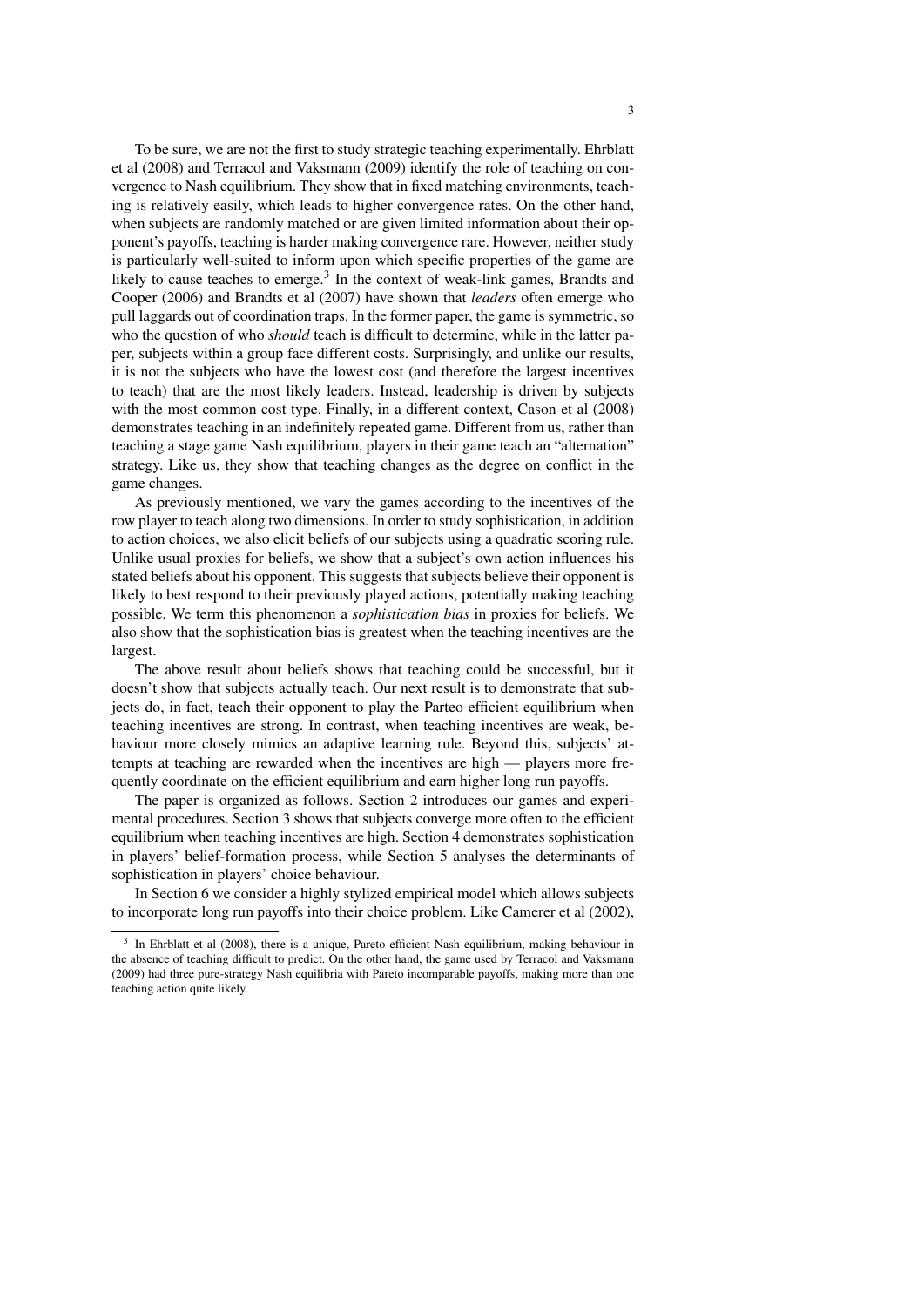To be sure, we are not the first to study strategic teaching experimentally. Ehrblatt et al (2008) and Terracol and Vaksmann (2009) identify the role of teaching on convergence to Nash equilibrium. They show that in fixed matching environments, teaching is relatively easily, which leads to higher convergence rates. On the other hand, when subjects are randomly matched or are given limited information about their opponent's payoffs, teaching is harder making convergence rare. However, neither study is particularly well-suited to inform upon which specific properties of the game are likely to cause teaches to emerge.<sup>3</sup> In the context of weak-link games, Brandts and Cooper (2006) and Brandts et al (2007) have shown that *leaders* often emerge who pull laggards out of coordination traps. In the former paper, the game is symmetric, so who the question of who *should* teach is difficult to determine, while in the latter paper, subjects within a group face different costs. Surprisingly, and unlike our results, it is not the subjects who have the lowest cost (and therefore the largest incentives to teach) that are the most likely leaders. Instead, leadership is driven by subjects with the most common cost type. Finally, in a different context, Cason et al (2008) demonstrates teaching in an indefinitely repeated game. Different from us, rather than teaching a stage game Nash equilibrium, players in their game teach an "alternation" strategy. Like us, they show that teaching changes as the degree on conflict in the game changes.

As previously mentioned, we vary the games according to the incentives of the row player to teach along two dimensions. In order to study sophistication, in addition to action choices, we also elicit beliefs of our subjects using a quadratic scoring rule. Unlike usual proxies for beliefs, we show that a subject's own action influences his stated beliefs about his opponent. This suggests that subjects believe their opponent is likely to best respond to their previously played actions, potentially making teaching possible. We term this phenomenon a *sophistication bias* in proxies for beliefs. We also show that the sophistication bias is greatest when the teaching incentives are the largest.

The above result about beliefs shows that teaching could be successful, but it doesn't show that subjects actually teach. Our next result is to demonstrate that subjects do, in fact, teach their opponent to play the Parteo efficient equilibrium when teaching incentives are strong. In contrast, when teaching incentives are weak, behaviour more closely mimics an adaptive learning rule. Beyond this, subjects' attempts at teaching are rewarded when the incentives are high — players more frequently coordinate on the efficient equilibrium and earn higher long run payoffs.

The paper is organized as follows. Section 2 introduces our games and experimental procedures. Section 3 shows that subjects converge more often to the efficient equilibrium when teaching incentives are high. Section 4 demonstrates sophistication in players' belief-formation process, while Section 5 analyses the determinants of sophistication in players' choice behaviour.

In Section 6 we consider a highly stylized empirical model which allows subjects to incorporate long run payoffs into their choice problem. Like Camerer et al (2002),

<sup>&</sup>lt;sup>3</sup> In Ehrblatt et al (2008), there is a unique, Pareto efficient Nash equilibrium, making behaviour in the absence of teaching difficult to predict. On the other hand, the game used by Terracol and Vaksmann (2009) had three pure-strategy Nash equilibria with Pareto incomparable payoffs, making more than one teaching action quite likely.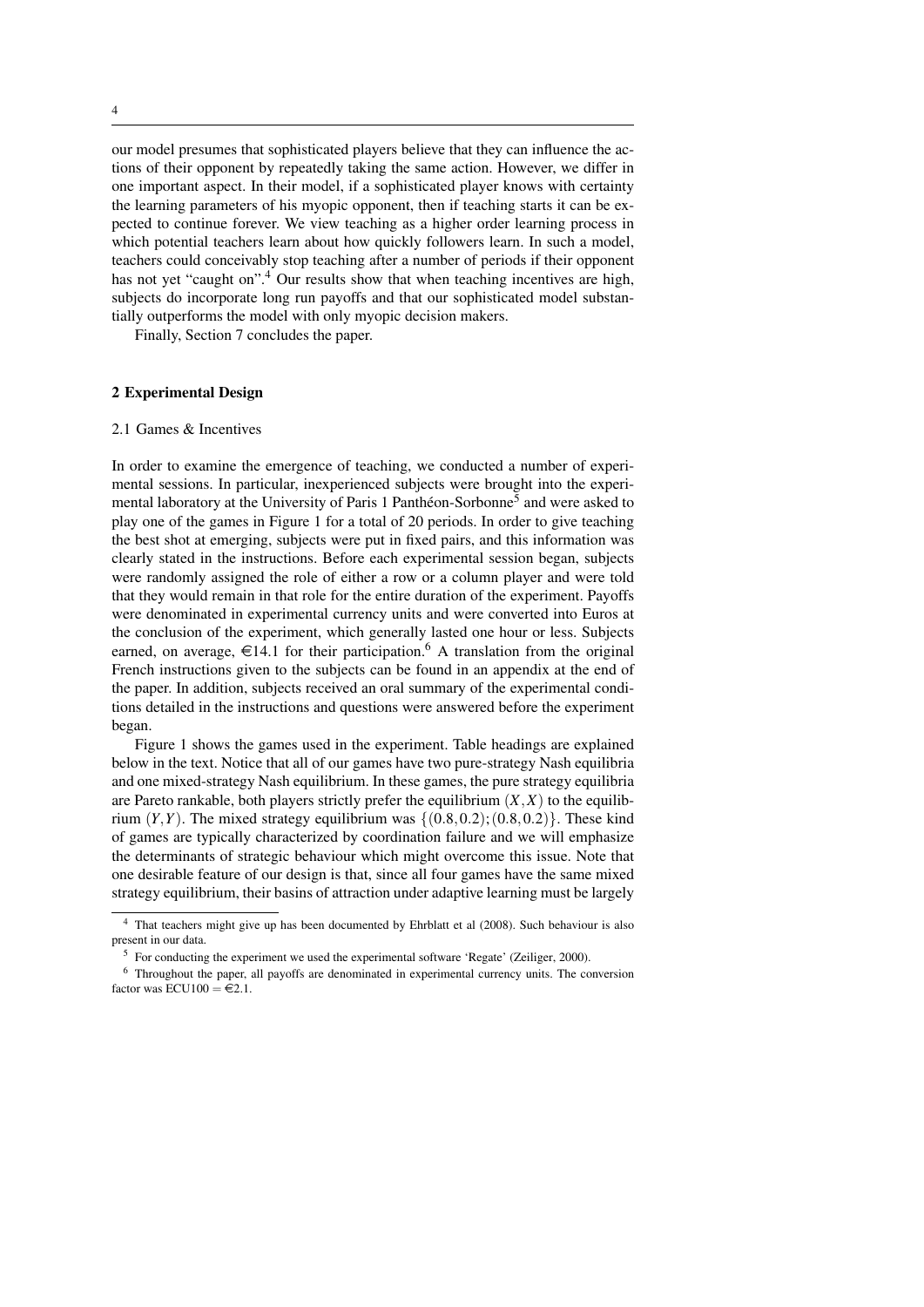our model presumes that sophisticated players believe that they can influence the actions of their opponent by repeatedly taking the same action. However, we differ in one important aspect. In their model, if a sophisticated player knows with certainty the learning parameters of his myopic opponent, then if teaching starts it can be expected to continue forever. We view teaching as a higher order learning process in which potential teachers learn about how quickly followers learn. In such a model, teachers could conceivably stop teaching after a number of periods if their opponent has not yet "caught on".<sup>4</sup> Our results show that when teaching incentives are high, subjects do incorporate long run payoffs and that our sophisticated model substantially outperforms the model with only myopic decision makers.

Finally, Section 7 concludes the paper.

### 2 Experimental Design

### 2.1 Games & Incentives

In order to examine the emergence of teaching, we conducted a number of experimental sessions. In particular, inexperienced subjects were brought into the experimental laboratory at the University of Paris 1 Panthéon-Sorbonne<sup>5</sup> and were asked to play one of the games in Figure 1 for a total of 20 periods. In order to give teaching the best shot at emerging, subjects were put in fixed pairs, and this information was clearly stated in the instructions. Before each experimental session began, subjects were randomly assigned the role of either a row or a column player and were told that they would remain in that role for the entire duration of the experiment. Payoffs were denominated in experimental currency units and were converted into Euros at the conclusion of the experiment, which generally lasted one hour or less. Subjects earned, on average,  $\epsilon$ 14.1 for their participation.<sup>6</sup> A translation from the original French instructions given to the subjects can be found in an appendix at the end of the paper. In addition, subjects received an oral summary of the experimental conditions detailed in the instructions and questions were answered before the experiment began.

Figure 1 shows the games used in the experiment. Table headings are explained below in the text. Notice that all of our games have two pure-strategy Nash equilibria and one mixed-strategy Nash equilibrium. In these games, the pure strategy equilibria are Pareto rankable, both players strictly prefer the equilibrium  $(X, X)$  to the equilibrium  $(Y, Y)$ . The mixed strategy equilibrium was  $\{(0.8, 0.2); (0.8, 0.2)\}\)$ . These kind of games are typically characterized by coordination failure and we will emphasize the determinants of strategic behaviour which might overcome this issue. Note that one desirable feature of our design is that, since all four games have the same mixed strategy equilibrium, their basins of attraction under adaptive learning must be largely

<sup>4</sup> That teachers might give up has been documented by Ehrblatt et al (2008). Such behaviour is also present in our data.

<sup>&</sup>lt;sup>5</sup> For conducting the experiment we used the experimental software 'Regate' (Zeiliger, 2000).

<sup>6</sup> Throughout the paper, all payoffs are denominated in experimental currency units. The conversion factor was ECU100  $=$   $\in$  2.1.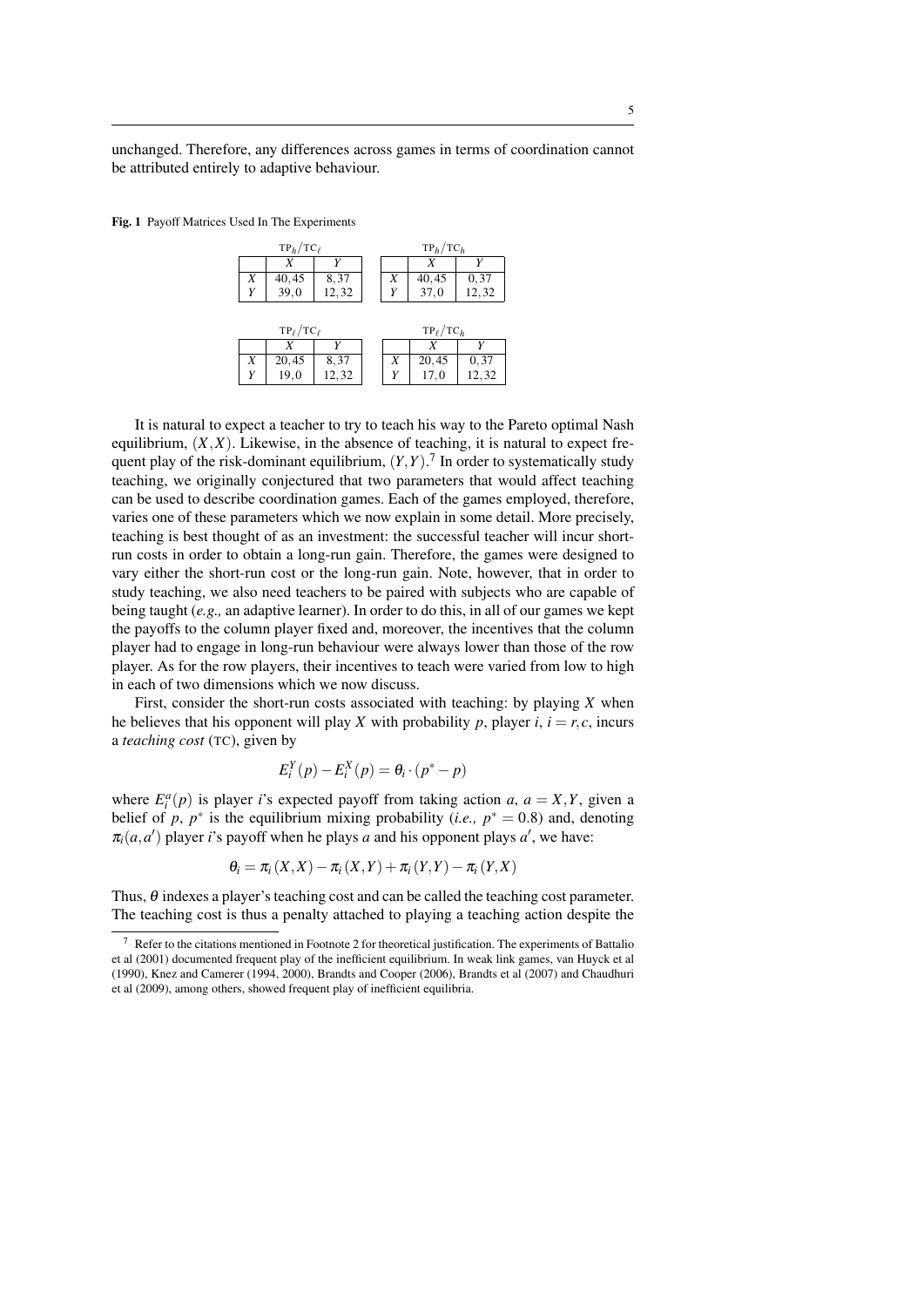unchanged. Therefore, any differences across games in terms of coordination cannot be attributed entirely to adaptive behaviour.

Fig. 1 Payoff Matrices Used In The Experiments

|   | $TP_h/TC_\ell$        |       |   | $TP_h/TC_h$      |       |
|---|-----------------------|-------|---|------------------|-------|
|   | X                     | γ     |   | X                |       |
| X | 40,45                 | 8,37  | X | 40, 45           | 0.37  |
| Y | 39,0                  | 12,32 | Y | 37,0             | 12,32 |
|   |                       |       |   |                  |       |
|   | $TP_{\ell}/TC_{\ell}$ |       |   | $TP_{\ell}/TC_h$ |       |
|   | X                     | V     |   | X                |       |
| Χ | 20,45                 | 8,37  | Χ | 20,45            | 0,37  |

It is natural to expect a teacher to try to teach his way to the Pareto optimal Nash equilibrium,  $(X, X)$ . Likewise, in the absence of teaching, it is natural to expect frequent play of the risk-dominant equilibrium,  $(Y, Y)$ .<sup>7</sup> In order to systematically study teaching, we originally conjectured that two parameters that would affect teaching can be used to describe coordination games. Each of the games employed, therefore, varies one of these parameters which we now explain in some detail. More precisely, teaching is best thought of as an investment: the successful teacher will incur shortrun costs in order to obtain a long-run gain. Therefore, the games were designed to vary either the short-run cost or the long-run gain. Note, however, that in order to study teaching, we also need teachers to be paired with subjects who are capable of being taught (*e.g.,* an adaptive learner). In order to do this, in all of our games we kept the payoffs to the column player fixed and, moreover, the incentives that the column player had to engage in long-run behaviour were always lower than those of the row player. As for the row players, their incentives to teach were varied from low to high in each of two dimensions which we now discuss.

First, consider the short-run costs associated with teaching: by playing *X* when he believes that his opponent will play *X* with probability *p*, player *i*, *i* = *r*, *c*, incurs a *teaching cost* (TC), given by

$$
E_i^Y(p) - E_i^X(p) = \theta_i \cdot (p^* - p)
$$

where  $E_i^a(p)$  is player *i*'s expected payoff from taking action *a*,  $a = X, Y$ , given a belief of *p*,  $p^*$  is the equilibrium mixing probability (*i.e.*,  $p^* = 0.8$ ) and, denoting  $\pi_i(a, a')$  player *i*'s payoff when he plays *a* and his opponent plays *a*', we have:

$$
\theta_i = \pi_i(X, X) - \pi_i(X, Y) + \pi_i(Y, Y) - \pi_i(Y, X)
$$

Thus,  $\theta$  indexes a player's teaching cost and can be called the teaching cost parameter. The teaching cost is thus a penalty attached to playing a teaching action despite the

<sup>7</sup> Refer to the citations mentioned in Footnote 2 for theoretical justification. The experiments of Battalio et al (2001) documented frequent play of the inefficient equilibrium. In weak link games, van Huyck et al (1990), Knez and Camerer (1994, 2000), Brandts and Cooper (2006), Brandts et al (2007) and Chaudhuri et al (2009), among others, showed frequent play of inefficient equilibria.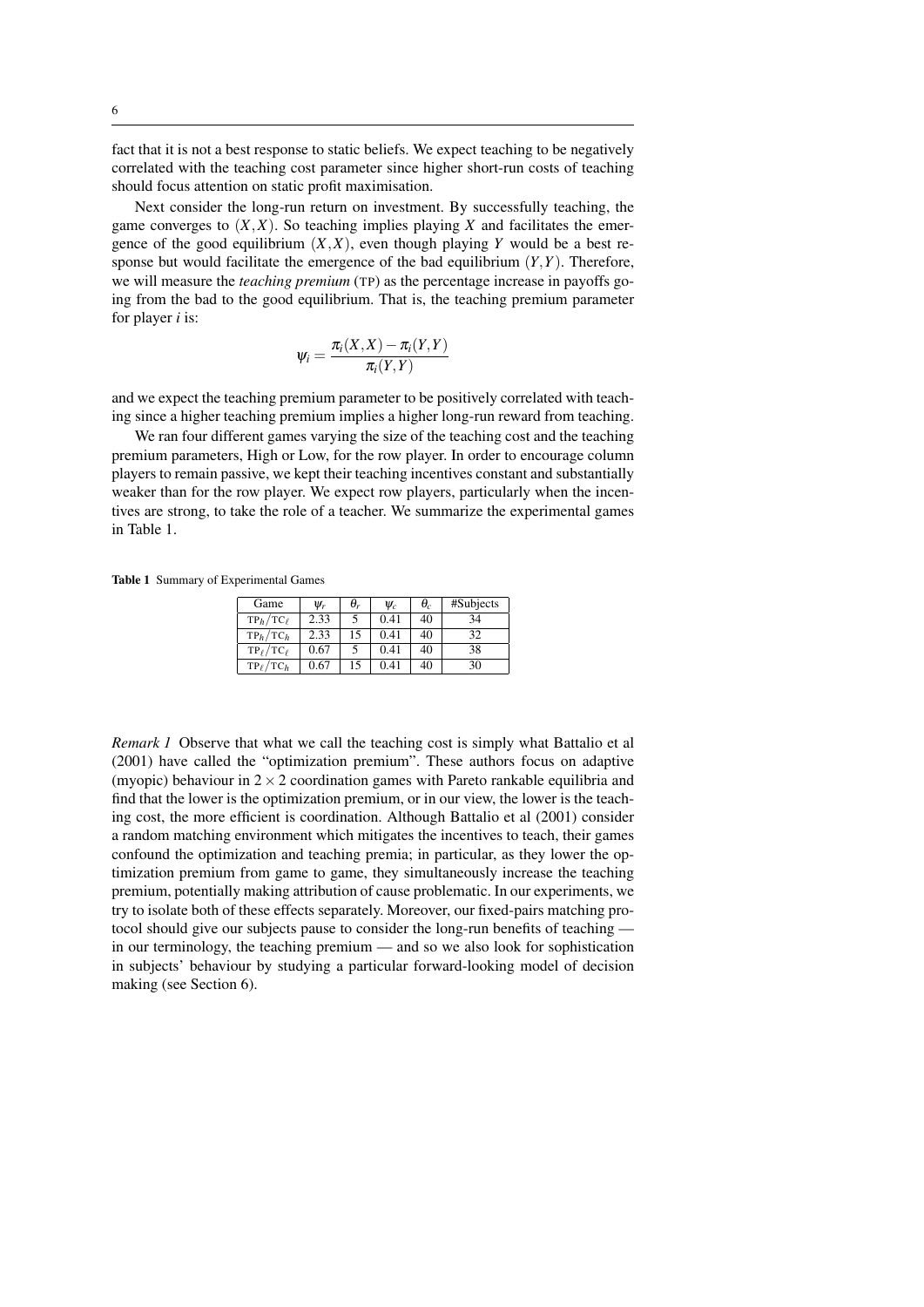fact that it is not a best response to static beliefs. We expect teaching to be negatively correlated with the teaching cost parameter since higher short-run costs of teaching should focus attention on static profit maximisation.

Next consider the long-run return on investment. By successfully teaching, the game converges to  $(X, X)$ . So teaching implies playing X and facilitates the emergence of the good equilibrium  $(X, X)$ , even though playing *Y* would be a best response but would facilitate the emergence of the bad equilibrium (*Y*,*Y*). Therefore, we will measure the *teaching premium* (TP) as the percentage increase in payoffs going from the bad to the good equilibrium. That is, the teaching premium parameter for player *i* is:

$$
\psi_i = \frac{\pi_i(X,X) - \pi_i(Y,Y)}{\pi_i(Y,Y)}
$$

and we expect the teaching premium parameter to be positively correlated with teaching since a higher teaching premium implies a higher long-run reward from teaching.

We ran four different games varying the size of the teaching cost and the teaching premium parameters, High or Low, for the row player. In order to encourage column players to remain passive, we kept their teaching incentives constant and substantially weaker than for the row player. We expect row players, particularly when the incentives are strong, to take the role of a teacher. We summarize the experimental games in Table 1.

Table 1 Summary of Experimental Games

| Game                  | $\psi_r$ | $\theta_r$ | $\psi_c$ | $\theta_c$ | #Subjects |
|-----------------------|----------|------------|----------|------------|-----------|
| $TP_h/TC_\ell$        | 2.33     |            | 0.41     | 40         | 34        |
| $TP_h/TC_h$           | 2.33     | 15         | 0.41     | 40         | 32        |
| $TP_{\ell}/TC_{\ell}$ | 0.67     |            | 0.41     | 40         | 38        |
| $TP_{\ell}/TC_h$      | 0.67     | 15         | 0.41     | 40         | 30        |

*Remark 1* Observe that what we call the teaching cost is simply what Battalio et al (2001) have called the "optimization premium". These authors focus on adaptive (myopic) behaviour in  $2 \times 2$  coordination games with Pareto rankable equilibria and find that the lower is the optimization premium, or in our view, the lower is the teaching cost, the more efficient is coordination. Although Battalio et al (2001) consider a random matching environment which mitigates the incentives to teach, their games confound the optimization and teaching premia; in particular, as they lower the optimization premium from game to game, they simultaneously increase the teaching premium, potentially making attribution of cause problematic. In our experiments, we try to isolate both of these effects separately. Moreover, our fixed-pairs matching protocol should give our subjects pause to consider the long-run benefits of teaching in our terminology, the teaching premium — and so we also look for sophistication in subjects' behaviour by studying a particular forward-looking model of decision making (see Section 6).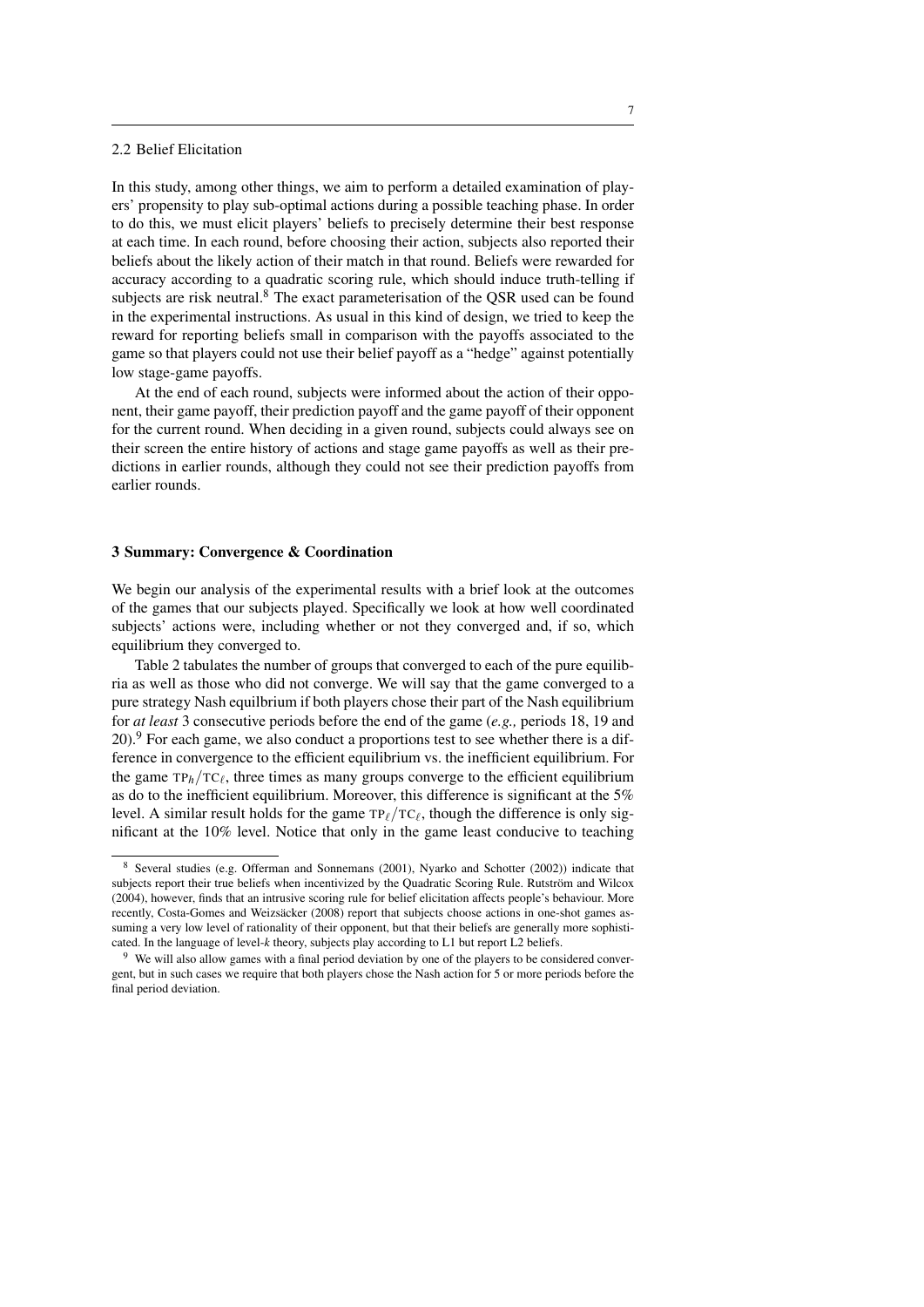# 2.2 Belief Elicitation

In this study, among other things, we aim to perform a detailed examination of players' propensity to play sub-optimal actions during a possible teaching phase. In order to do this, we must elicit players' beliefs to precisely determine their best response at each time. In each round, before choosing their action, subjects also reported their beliefs about the likely action of their match in that round. Beliefs were rewarded for accuracy according to a quadratic scoring rule, which should induce truth-telling if subjects are risk neutral.<sup>8</sup> The exact parameterisation of the QSR used can be found in the experimental instructions. As usual in this kind of design, we tried to keep the reward for reporting beliefs small in comparison with the payoffs associated to the game so that players could not use their belief payoff as a "hedge" against potentially low stage-game payoffs.

At the end of each round, subjects were informed about the action of their opponent, their game payoff, their prediction payoff and the game payoff of their opponent for the current round. When deciding in a given round, subjects could always see on their screen the entire history of actions and stage game payoffs as well as their predictions in earlier rounds, although they could not see their prediction payoffs from earlier rounds.

## 3 Summary: Convergence & Coordination

We begin our analysis of the experimental results with a brief look at the outcomes of the games that our subjects played. Specifically we look at how well coordinated subjects' actions were, including whether or not they converged and, if so, which equilibrium they converged to.

Table 2 tabulates the number of groups that converged to each of the pure equilibria as well as those who did not converge. We will say that the game converged to a pure strategy Nash equilbrium if both players chose their part of the Nash equilibrium for *at least* 3 consecutive periods before the end of the game (*e.g.,* periods 18, 19 and  $20$ ).<sup>9</sup> For each game, we also conduct a proportions test to see whether there is a difference in convergence to the efficient equilibrium vs. the inefficient equilibrium. For the game  $TP_h/TC_\ell$ , three times as many groups converge to the efficient equilibrium as do to the inefficient equilibrium. Moreover, this difference is significant at the 5% level. A similar result holds for the game  $TP_\ell/TC_\ell$ , though the difference is only significant at the 10% level. Notice that only in the game least conducive to teaching

<sup>8</sup> Several studies (e.g. Offerman and Sonnemans (2001), Nyarko and Schotter (2002)) indicate that subjects report their true beliefs when incentivized by the Quadratic Scoring Rule. Rutström and Wilcox (2004), however, finds that an intrusive scoring rule for belief elicitation affects people's behaviour. More recently, Costa-Gomes and Weizsäcker (2008) report that subjects choose actions in one-shot games assuming a very low level of rationality of their opponent, but that their beliefs are generally more sophisticated. In the language of level-*k* theory, subjects play according to L1 but report L2 beliefs.

<sup>9</sup> We will also allow games with a final period deviation by one of the players to be considered convergent, but in such cases we require that both players chose the Nash action for 5 or more periods before the final period deviation.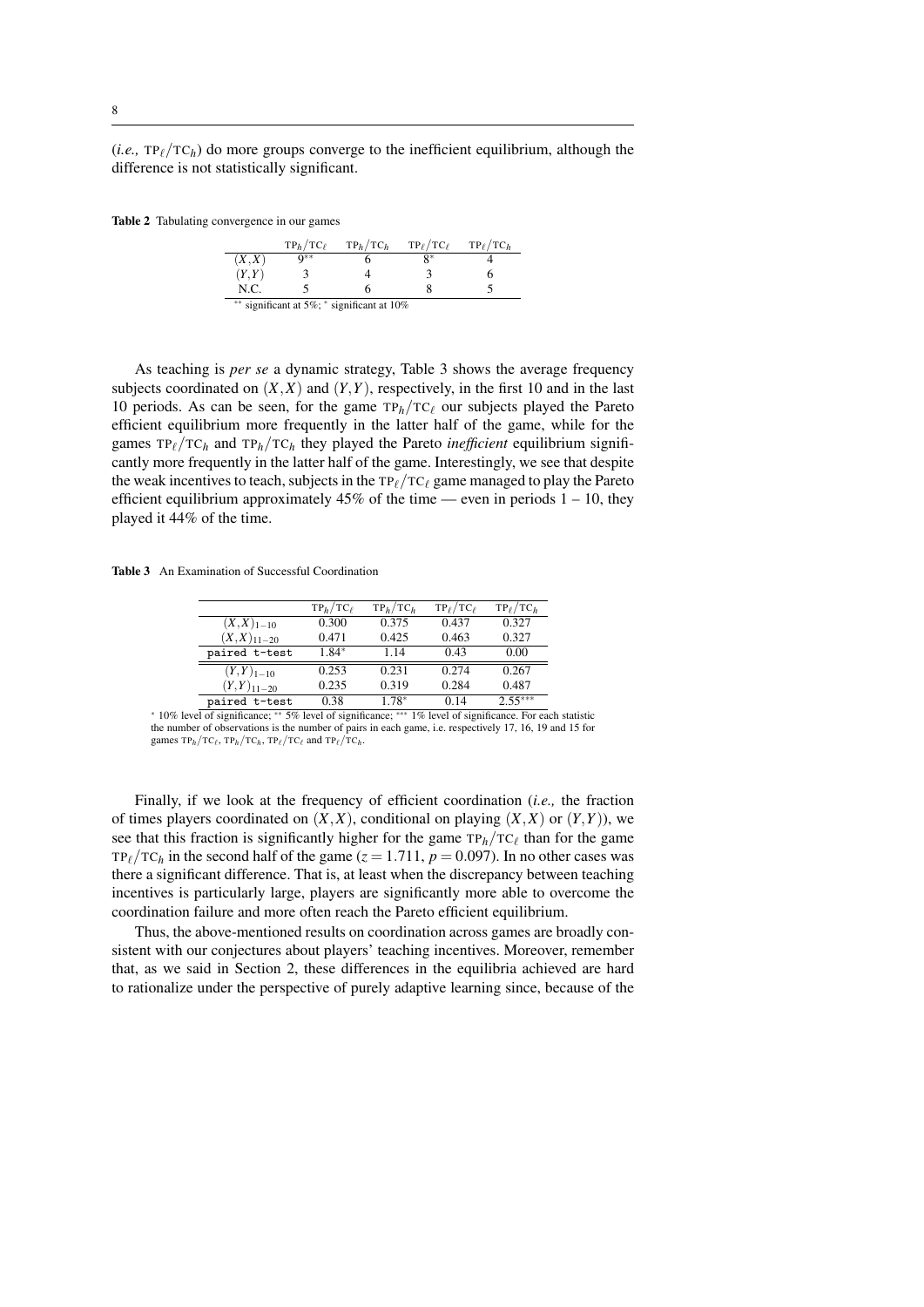$(i.e., TP<sub>ℓ</sub>/TC<sub>h</sub>)$  do more groups converge to the inefficient equilibrium, although the difference is not statistically significant.

Table 2 Tabulating convergence in our games

|        | $TP_h/TC_\ell$ | $TP_h/TC_h$                                       | $TP_{\ell}/TC_{\ell}$ | $TP_{\ell}/TC_h$ |
|--------|----------------|---------------------------------------------------|-----------------------|------------------|
| (X, X) | $Q^{**}$       |                                                   | Q∗                    |                  |
| (Y, Y) |                |                                                   |                       |                  |
| N.C.   |                |                                                   |                       |                  |
|        |                | ** significant at $5\%$ ; * significant at $10\%$ |                       |                  |

As teaching is *per se* a dynamic strategy, Table 3 shows the average frequency subjects coordinated on  $(X, X)$  and  $(Y, Y)$ , respectively, in the first 10 and in the last 10 periods. As can be seen, for the game  $TP_h/TC_\ell$  our subjects played the Pareto efficient equilibrium more frequently in the latter half of the game, while for the games  $TP_\ell/TC_h$  and  $TP_h/TC_h$  they played the Pareto *inefficient* equilibrium significantly more frequently in the latter half of the game. Interestingly, we see that despite the weak incentives to teach, subjects in the TP $_{\ell}/TC_{\ell}$  game managed to play the Pareto efficient equilibrium approximately 45% of the time — even in periods  $1 - 10$ , they played it 44% of the time.

Table 3 An Examination of Successful Coordination

|                                                           | $TP_h/TC_\ell$              | TP <sub>h</sub> /TC <sub>h</sub> | $TP_{\ell}/TC_{\ell}$          | $TP_{\ell}/TC_h$ |
|-----------------------------------------------------------|-----------------------------|----------------------------------|--------------------------------|------------------|
| $(X,X)_{1-10}$                                            | 0.300                       | 0.375                            | 0.437                          | 0.327            |
| $(X,X)_{11-20}$                                           | 0.471                       | 0.425                            | 0.463                          | 0.327            |
| paired t-test                                             | $1.84*$                     | 1.14                             | 0.43                           | 0.00             |
| $(Y, Y)_{1-10}$                                           | 0.253                       | 0.231                            | 0.274                          | 0.267            |
| $(Y, Y)_{11-20}$                                          | 0.235                       | 0.319                            | 0.284                          | 0.487            |
| paired t-test                                             | 0.38                        | $1.78*$                          | 0.14                           | $2.55***$        |
| $\sim$ $\sim$ $\sim$<br>$\sim$<br>الماسي المسترد المستنبذ | . .<br>$\sim$ $\sim$ $\sim$ |                                  | $\sim$<br>$\sim$ $\sim$ $\sim$ |                  |

<sup>∗</sup> 10% level of significance; ∗∗ 5% level of significance; ∗∗∗ 1% level of significance. For each statistic the number of observations is the number of pairs in each game, i.e. respectively 17, 16, 19 and 15 for games  $TP_h/TC_\ell$ ,  $TP_h/TC_h$ ,  $TP_\ell/TC_\ell$  and  $TP_\ell/TC_h$ .

Finally, if we look at the frequency of efficient coordination (*i.e.,* the fraction of times players coordinated on  $(X, X)$ , conditional on playing  $(X, X)$  or  $(Y, Y)$ ), we see that this fraction is significantly higher for the game  $TP_h/TC_\ell$  than for the game TP<sub>l</sub>/TC<sub>h</sub> in the second half of the game ( $z = 1.711$ ,  $p = 0.097$ ). In no other cases was there a significant difference. That is, at least when the discrepancy between teaching incentives is particularly large, players are significantly more able to overcome the coordination failure and more often reach the Pareto efficient equilibrium.

Thus, the above-mentioned results on coordination across games are broadly consistent with our conjectures about players' teaching incentives. Moreover, remember that, as we said in Section 2, these differences in the equilibria achieved are hard to rationalize under the perspective of purely adaptive learning since, because of the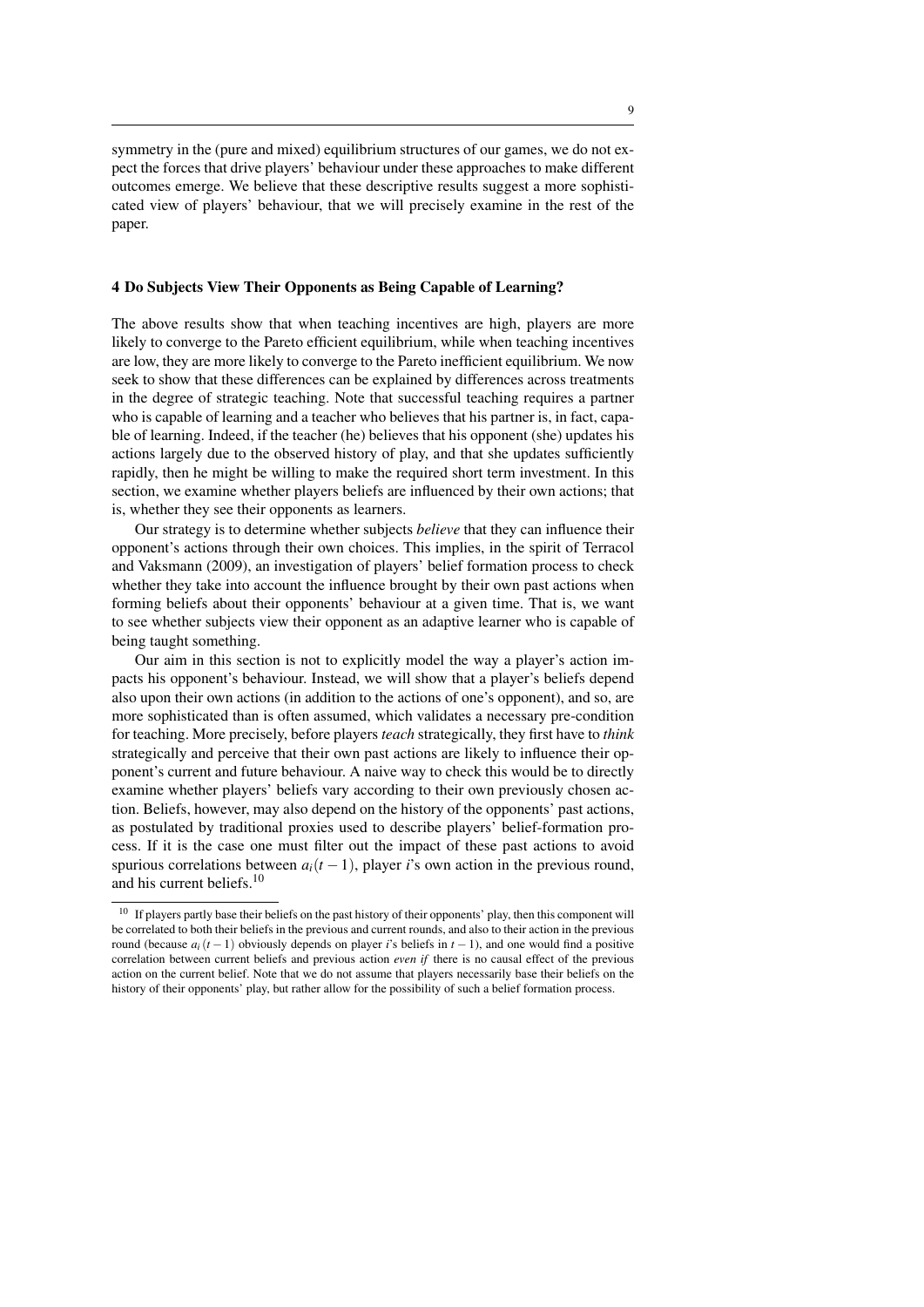symmetry in the (pure and mixed) equilibrium structures of our games, we do not expect the forces that drive players' behaviour under these approaches to make different outcomes emerge. We believe that these descriptive results suggest a more sophisticated view of players' behaviour, that we will precisely examine in the rest of the paper.

### 4 Do Subjects View Their Opponents as Being Capable of Learning?

The above results show that when teaching incentives are high, players are more likely to converge to the Pareto efficient equilibrium, while when teaching incentives are low, they are more likely to converge to the Pareto inefficient equilibrium. We now seek to show that these differences can be explained by differences across treatments in the degree of strategic teaching. Note that successful teaching requires a partner who is capable of learning and a teacher who believes that his partner is, in fact, capable of learning. Indeed, if the teacher (he) believes that his opponent (she) updates his actions largely due to the observed history of play, and that she updates sufficiently rapidly, then he might be willing to make the required short term investment. In this section, we examine whether players beliefs are influenced by their own actions; that is, whether they see their opponents as learners.

Our strategy is to determine whether subjects *believe* that they can influence their opponent's actions through their own choices. This implies, in the spirit of Terracol and Vaksmann (2009), an investigation of players' belief formation process to check whether they take into account the influence brought by their own past actions when forming beliefs about their opponents' behaviour at a given time. That is, we want to see whether subjects view their opponent as an adaptive learner who is capable of being taught something.

Our aim in this section is not to explicitly model the way a player's action impacts his opponent's behaviour. Instead, we will show that a player's beliefs depend also upon their own actions (in addition to the actions of one's opponent), and so, are more sophisticated than is often assumed, which validates a necessary pre-condition for teaching. More precisely, before players *teach* strategically, they first have to *think* strategically and perceive that their own past actions are likely to influence their opponent's current and future behaviour. A naive way to check this would be to directly examine whether players' beliefs vary according to their own previously chosen action. Beliefs, however, may also depend on the history of the opponents' past actions, as postulated by traditional proxies used to describe players' belief-formation process. If it is the case one must filter out the impact of these past actions to avoid spurious correlations between  $a_i(t-1)$ , player *i*'s own action in the previous round, and his current beliefs.<sup>10</sup>

<sup>&</sup>lt;sup>10</sup> If players partly base their beliefs on the past history of their opponents' play, then this component will be correlated to both their beliefs in the previous and current rounds, and also to their action in the previous round (because  $a_i(t-1)$  obviously depends on player *i*'s beliefs in  $t-1$ ), and one would find a positive correlation between current beliefs and previous action *even if* there is no causal effect of the previous action on the current belief. Note that we do not assume that players necessarily base their beliefs on the history of their opponents' play, but rather allow for the possibility of such a belief formation process.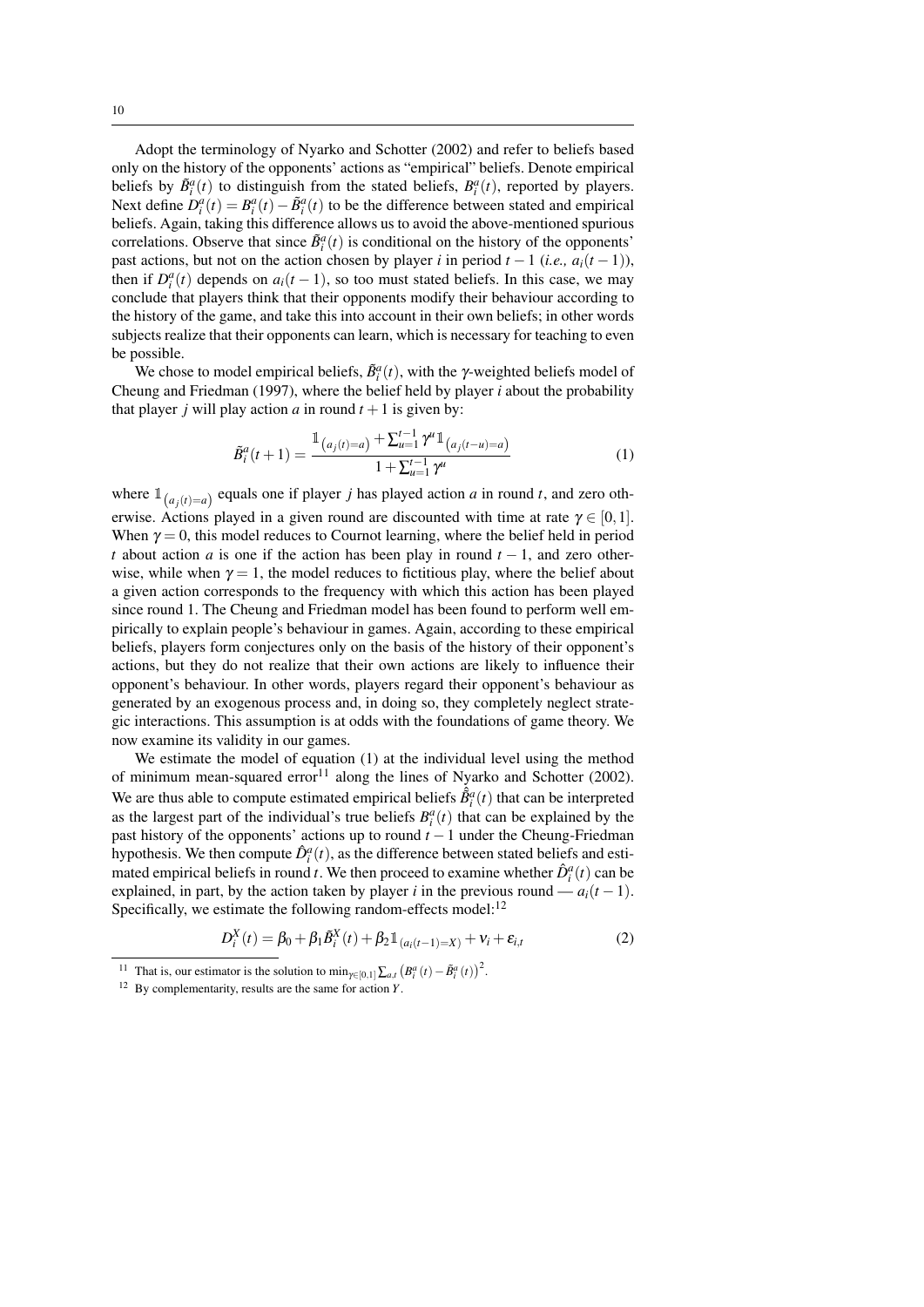Adopt the terminology of Nyarko and Schotter (2002) and refer to beliefs based only on the history of the opponents' actions as "empirical" beliefs. Denote empirical beliefs by  $\tilde{B}^a_i(t)$  to distinguish from the stated beliefs,  $B^a_i(t)$ , reported by players. Next define  $D_i^a(t) = B_i^a(t) - \tilde{B}_i^a(t)$  to be the difference between stated and empirical beliefs. Again, taking this difference allows us to avoid the above-mentioned spurious correlations. Observe that since  $\tilde{B}^a_i(t)$  is conditional on the history of the opponents' past actions, but not on the action chosen by player *i* in period  $t - 1$  (*i.e., a<sub>i</sub>*( $t - 1$ )), then if  $D_i^a(t)$  depends on  $a_i(t-1)$ , so too must stated beliefs. In this case, we may conclude that players think that their opponents modify their behaviour according to the history of the game, and take this into account in their own beliefs; in other words subjects realize that their opponents can learn, which is necessary for teaching to even be possible.

We chose to model empirical beliefs,  $\tilde{B}^a_i(t)$ , with the *γ*-weighted beliefs model of Cheung and Friedman (1997), where the belief held by player *i* about the probability that player *j* will play action *a* in round  $t + 1$  is given by:

$$
\tilde{B}_i^a(t+1) = \frac{\mathbb{1}_{(a_j(t)=a)} + \sum_{u=1}^{t-1} \gamma^u \mathbb{1}_{(a_j(t-u)=a)}}{1 + \sum_{u=1}^{t-1} \gamma^u}
$$
(1)

where  $\mathbb{1}_{(a_j(t)=a)}$  equals one if player *j* has played action *a* in round *t*, and zero otherwise. Actions played in a given round are discounted with time at rate  $\gamma \in [0,1]$ . When  $\gamma = 0$ , this model reduces to Cournot learning, where the belief held in period *t* about action *a* is one if the action has been play in round  $t - 1$ , and zero otherwise, while when  $\gamma = 1$ , the model reduces to fictitious play, where the belief about a given action corresponds to the frequency with which this action has been played since round 1. The Cheung and Friedman model has been found to perform well empirically to explain people's behaviour in games. Again, according to these empirical beliefs, players form conjectures only on the basis of the history of their opponent's actions, but they do not realize that their own actions are likely to influence their opponent's behaviour. In other words, players regard their opponent's behaviour as generated by an exogenous process and, in doing so, they completely neglect strategic interactions. This assumption is at odds with the foundations of game theory. We now examine its validity in our games.

We estimate the model of equation (1) at the individual level using the method of minimum mean-squared error<sup>11</sup> along the lines of Nyarko and Schotter (2002). We are thus able to compute estimated empirical beliefs  $\hat{B}^a_i(t)$  that can be interpreted as the largest part of the individual's true beliefs  $B_i^a(t)$  that can be explained by the past history of the opponents' actions up to round  $t - 1$  under the Cheung-Friedman hypothesis. We then compute  $\hat{D}_i^a(t)$ , as the difference between stated beliefs and estimated empirical beliefs in round *t*. We then proceed to examine whether  $\hat{D}_i^a(t)$  can be explained, in part, by the action taken by player *i* in the previous round —  $a_i(t-1)$ . Specifically, we estimate the following random-effects model: $12$ 

$$
D_i^X(t) = \beta_0 + \beta_1 \tilde{B}_i^X(t) + \beta_2 \mathbb{1}_{(a_i(t-1)=X)} + v_i + \varepsilon_{i,t}
$$
 (2)

<sup>&</sup>lt;sup>11</sup> That is, our estimator is the solution to  $\min_{\gamma \in [0,1]} \sum_{a,t} \left( B_i^a(t) - \tilde{B}_i^a(t) \right)^2$ .

<sup>12</sup> By complementarity, results are the same for action *Y*.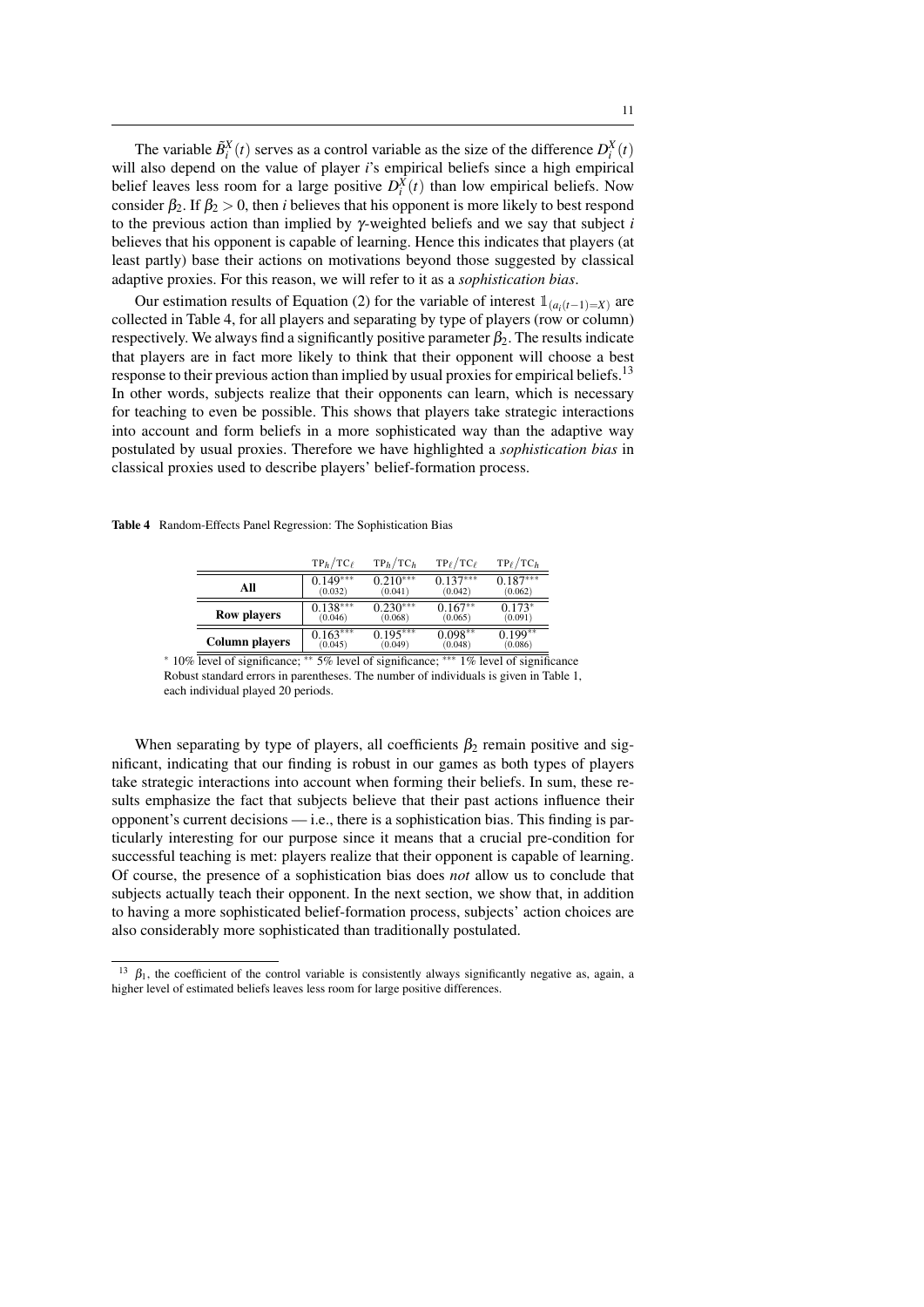The variable  $\tilde{B}_i^X(t)$  serves as a control variable as the size of the difference  $D_i^X(t)$ will also depend on the value of player *i*'s empirical beliefs since a high empirical belief leaves less room for a large positive  $D_i^X(t)$  than low empirical beliefs. Now consider  $\beta_2$ . If  $\beta_2 > 0$ , then *i* believes that his opponent is more likely to best respond to the previous action than implied by γ-weighted beliefs and we say that subject *i* believes that his opponent is capable of learning. Hence this indicates that players (at least partly) base their actions on motivations beyond those suggested by classical adaptive proxies. For this reason, we will refer to it as a *sophistication bias*.

Our estimation results of Equation (2) for the variable of interest  $\mathbb{1}_{(a_i(t-1)=X)}$  are collected in Table 4, for all players and separating by type of players (row or column) respectively. We always find a significantly positive parameter  $\beta_2$ . The results indicate that players are in fact more likely to think that their opponent will choose a best response to their previous action than implied by usual proxies for empirical beliefs.<sup>13</sup> In other words, subjects realize that their opponents can learn, which is necessary for teaching to even be possible. This shows that players take strategic interactions into account and form beliefs in a more sophisticated way than the adaptive way postulated by usual proxies. Therefore we have highlighted a *sophistication bias* in classical proxies used to describe players' belief-formation process.

|                | $TP_h/TC_\ell$ | $TP_h/TC_h$ | $TP_{\ell}/TC_{\ell}$ | $TP_{\ell}/TC_h$ |
|----------------|----------------|-------------|-----------------------|------------------|
| All            | $0.149***$     | $0.210***$  | $0.137***$            | $0.187***$       |
|                | (0.032)        | (0.041)     | (0.042)               | (0.062)          |
| Row players    | $0.138***$     | $0.230***$  | $0.167**$             | $0.173*$         |
|                | (0.046)        | (0.068)     | (0.065)               | (0.091)          |
| Column players | $0.163***$     | $0.195***$  | $0.098**$             | $0.199**$        |
|                | (0.045)        | (0.049)     | (0.048)               | (0.086)          |

Table 4 Random-Effects Panel Regression: The Sophistication Bias

<sup>∗</sup> 10% level of significance; ∗∗ 5% level of significance; ∗∗∗ 1% level of significance Robust standard errors in parentheses. The number of individuals is given in Table 1, each individual played 20 periods.

When separating by type of players, all coefficients  $\beta_2$  remain positive and significant, indicating that our finding is robust in our games as both types of players take strategic interactions into account when forming their beliefs. In sum, these results emphasize the fact that subjects believe that their past actions influence their opponent's current decisions — i.e., there is a sophistication bias. This finding is particularly interesting for our purpose since it means that a crucial pre-condition for successful teaching is met: players realize that their opponent is capable of learning. Of course, the presence of a sophistication bias does *not* allow us to conclude that subjects actually teach their opponent. In the next section, we show that, in addition to having a more sophisticated belief-formation process, subjects' action choices are also considerably more sophisticated than traditionally postulated.

<sup>&</sup>lt;sup>13</sup>  $\beta_1$ , the coefficient of the control variable is consistently always significantly negative as, again, a higher level of estimated beliefs leaves less room for large positive differences.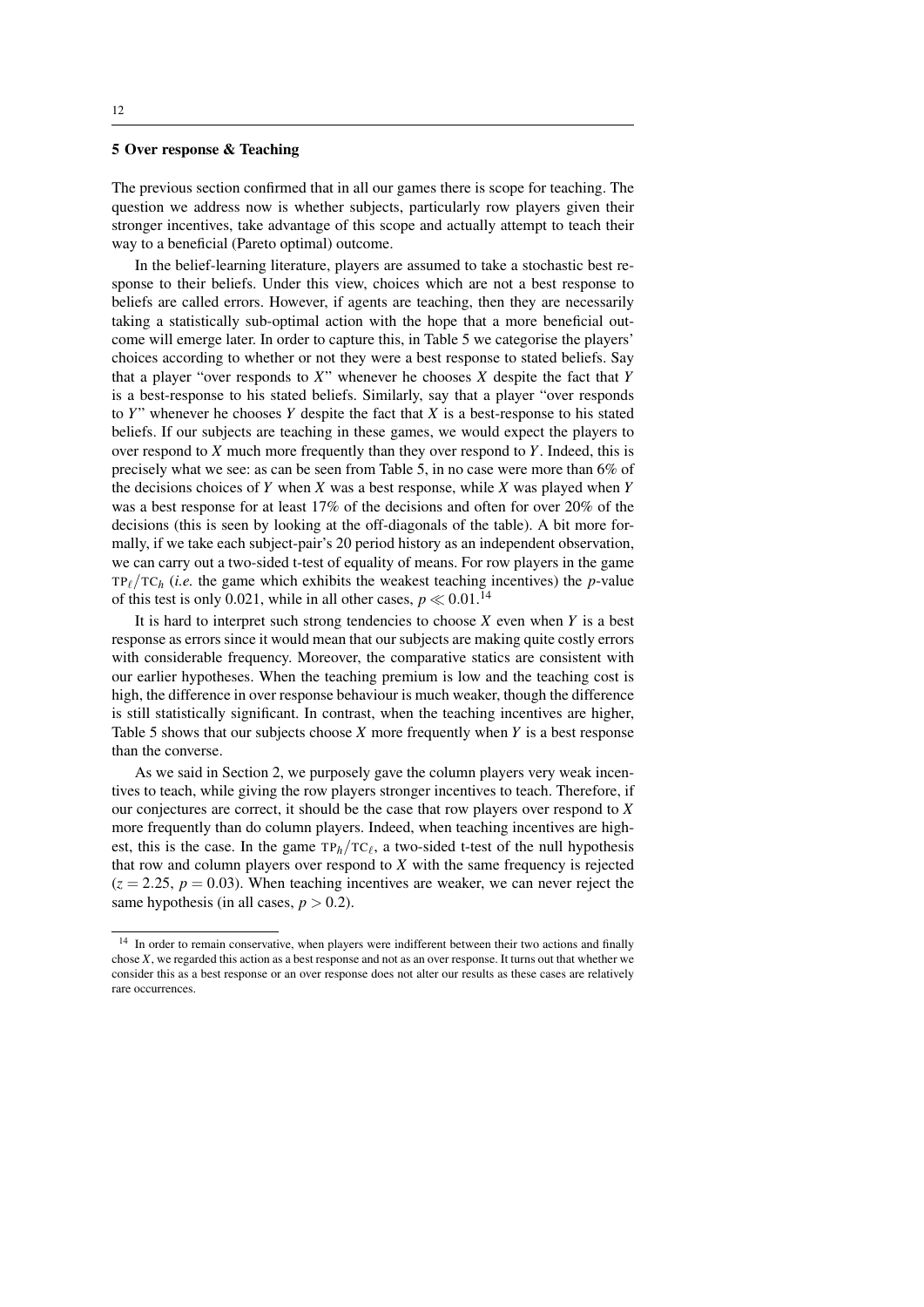### 5 Over response & Teaching

The previous section confirmed that in all our games there is scope for teaching. The question we address now is whether subjects, particularly row players given their stronger incentives, take advantage of this scope and actually attempt to teach their way to a beneficial (Pareto optimal) outcome.

In the belief-learning literature, players are assumed to take a stochastic best response to their beliefs. Under this view, choices which are not a best response to beliefs are called errors. However, if agents are teaching, then they are necessarily taking a statistically sub-optimal action with the hope that a more beneficial outcome will emerge later. In order to capture this, in Table 5 we categorise the players' choices according to whether or not they were a best response to stated beliefs. Say that a player "over responds to *X*" whenever he chooses *X* despite the fact that *Y* is a best-response to his stated beliefs. Similarly, say that a player "over responds to *Y*" whenever he chooses *Y* despite the fact that *X* is a best-response to his stated beliefs. If our subjects are teaching in these games, we would expect the players to over respond to *X* much more frequently than they over respond to *Y*. Indeed, this is precisely what we see: as can be seen from Table 5, in no case were more than 6% of the decisions choices of *Y* when *X* was a best response, while *X* was played when *Y* was a best response for at least 17% of the decisions and often for over 20% of the decisions (this is seen by looking at the off-diagonals of the table). A bit more formally, if we take each subject-pair's 20 period history as an independent observation, we can carry out a two-sided t-test of equality of means. For row players in the game  $TP_{\ell}/TC_h$  (*i.e.* the game which exhibits the weakest teaching incentives) the *p*-value of this test is only 0.021, while in all other cases,  $p \ll 0.01$ .<sup>14</sup>

It is hard to interpret such strong tendencies to choose *X* even when *Y* is a best response as errors since it would mean that our subjects are making quite costly errors with considerable frequency. Moreover, the comparative statics are consistent with our earlier hypotheses. When the teaching premium is low and the teaching cost is high, the difference in over response behaviour is much weaker, though the difference is still statistically significant. In contrast, when the teaching incentives are higher, Table 5 shows that our subjects choose *X* more frequently when *Y* is a best response than the converse.

As we said in Section 2, we purposely gave the column players very weak incentives to teach, while giving the row players stronger incentives to teach. Therefore, if our conjectures are correct, it should be the case that row players over respond to *X* more frequently than do column players. Indeed, when teaching incentives are highest, this is the case. In the game  $TP_h/TC_\ell$ , a two-sided t-test of the null hypothesis that row and column players over respond to *X* with the same frequency is rejected  $(z = 2.25, p = 0.03)$ . When teaching incentives are weaker, we can never reject the same hypothesis (in all cases,  $p > 0.2$ ).

<sup>&</sup>lt;sup>14</sup> In order to remain conservative, when players were indifferent between their two actions and finally chose *X*, we regarded this action as a best response and not as an over response. It turns out that whether we consider this as a best response or an over response does not alter our results as these cases are relatively rare occurrences.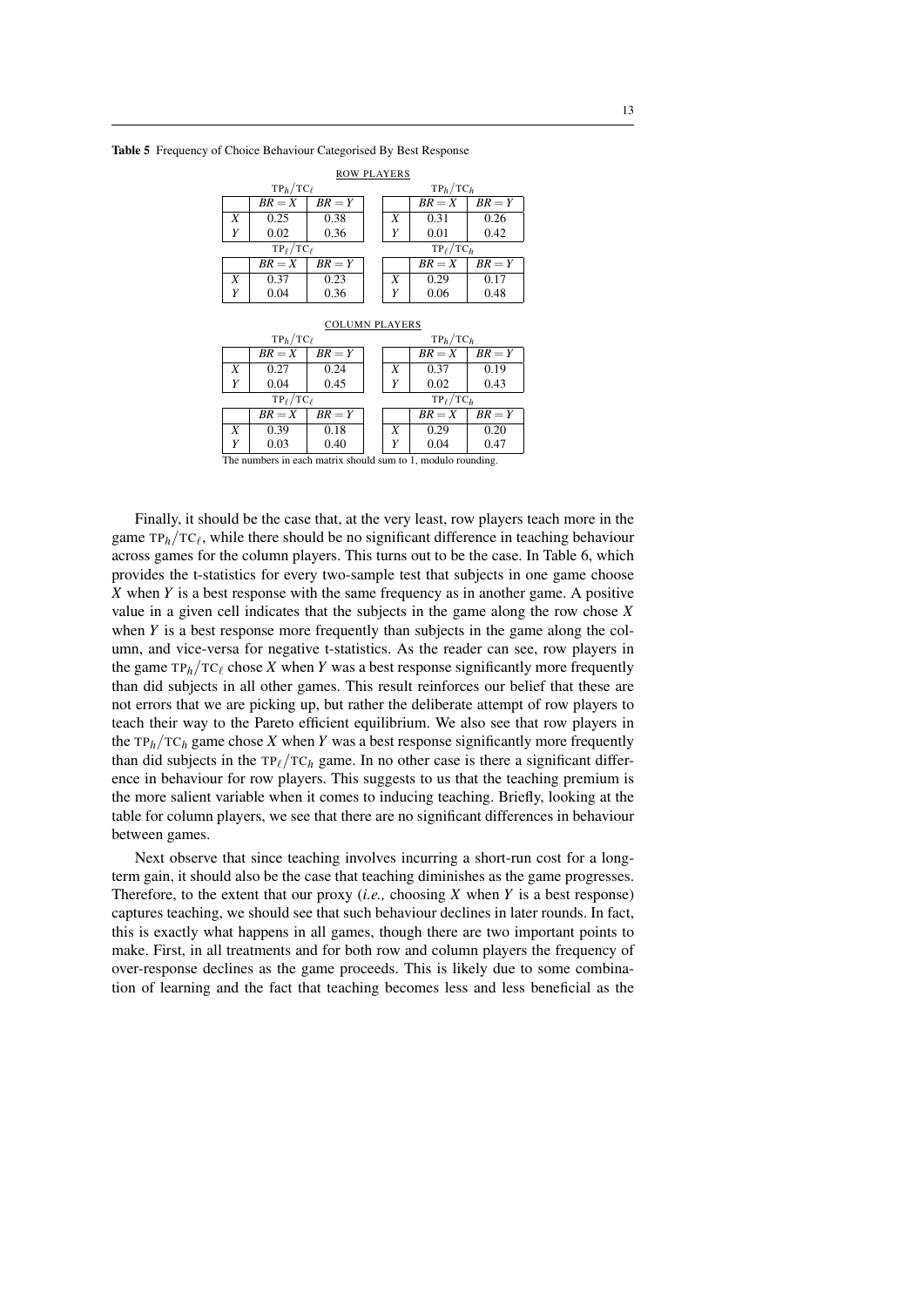Table 5 Frequency of Choice Behaviour Categorised By Best Response

|   |                       | <b>ROW PLAYERS</b> |   |                  |          |
|---|-----------------------|--------------------|---|------------------|----------|
|   | $TP_h/TC_\ell$        |                    |   | $TP_h/TC_h$      |          |
|   | $BR = X$              | $BR = Y$           |   | $BR = X$         | $BR = Y$ |
| X | 0.25                  | 0.38               | X | 0.31             | 0.26     |
| Y | 0.02                  | 0.36               | Y | 0.01             | 0.42     |
|   |                       |                    |   |                  |          |
|   | $TP_{\ell}/TC_{\ell}$ |                    |   | $TP_{\ell}/TC_h$ |          |
|   | $BR = X$              | $BR = Y$           |   | $BR = X$         | $BR = Y$ |
| X | 0.37                  | 0.23               | X | 0.29             | 0.17     |
| Y | 0.04                  | 0.36               | Υ | 0.06             | 0.48     |
|   |                       |                    |   |                  |          |

|   |                       | COLUMIN FLATERS |   |                  |          |
|---|-----------------------|-----------------|---|------------------|----------|
|   | $TP_h/TC_\ell$        |                 |   | $TP_h/TC_h$      |          |
|   | $BR = X$              | $BR = Y$        |   | $BR = X$         | $BR = Y$ |
| X | 0.27                  | 0.24            | X | 0.37             | 0.19     |
| Y | 0.04                  | 0.45            | Y | 0.02             | 0.43     |
|   | $TP_{\ell}/TC_{\ell}$ |                 |   | $TP_{\ell}/TC_h$ |          |
|   | $BR = X$              | $BR = Y$        |   | $BR = X$         | $BR = Y$ |
| X | 0.39                  | 0.18            | X | 0.29             | 0.20     |
| Y | 0.03                  | 0.40            | V | 0.04             | 0.47     |

The numbers in each matrix should sum to 1, modulo rounding.

Finally, it should be the case that, at the very least, row players teach more in the game  $TP_h/TC_\ell$ , while there should be no significant difference in teaching behaviour across games for the column players. This turns out to be the case. In Table 6, which provides the t-statistics for every two-sample test that subjects in one game choose *X* when *Y* is a best response with the same frequency as in another game. A positive value in a given cell indicates that the subjects in the game along the row chose *X* when *Y* is a best response more frequently than subjects in the game along the column, and vice-versa for negative t-statistics. As the reader can see, row players in the game  $TP_h/TC_\ell$  chose *X* when *Y* was a best response significantly more frequently than did subjects in all other games. This result reinforces our belief that these are not errors that we are picking up, but rather the deliberate attempt of row players to teach their way to the Pareto efficient equilibrium. We also see that row players in the  $TP_h/TC_h$  game chose *X* when *Y* was a best response significantly more frequently than did subjects in the TP<sub>l</sub>/TC<sub>h</sub> game. In no other case is there a significant difference in behaviour for row players. This suggests to us that the teaching premium is the more salient variable when it comes to inducing teaching. Briefly, looking at the table for column players, we see that there are no significant differences in behaviour between games.

Next observe that since teaching involves incurring a short-run cost for a longterm gain, it should also be the case that teaching diminishes as the game progresses. Therefore, to the extent that our proxy (*i.e.,* choosing *X* when *Y* is a best response) captures teaching, we should see that such behaviour declines in later rounds. In fact, this is exactly what happens in all games, though there are two important points to make. First, in all treatments and for both row and column players the frequency of over-response declines as the game proceeds. This is likely due to some combination of learning and the fact that teaching becomes less and less beneficial as the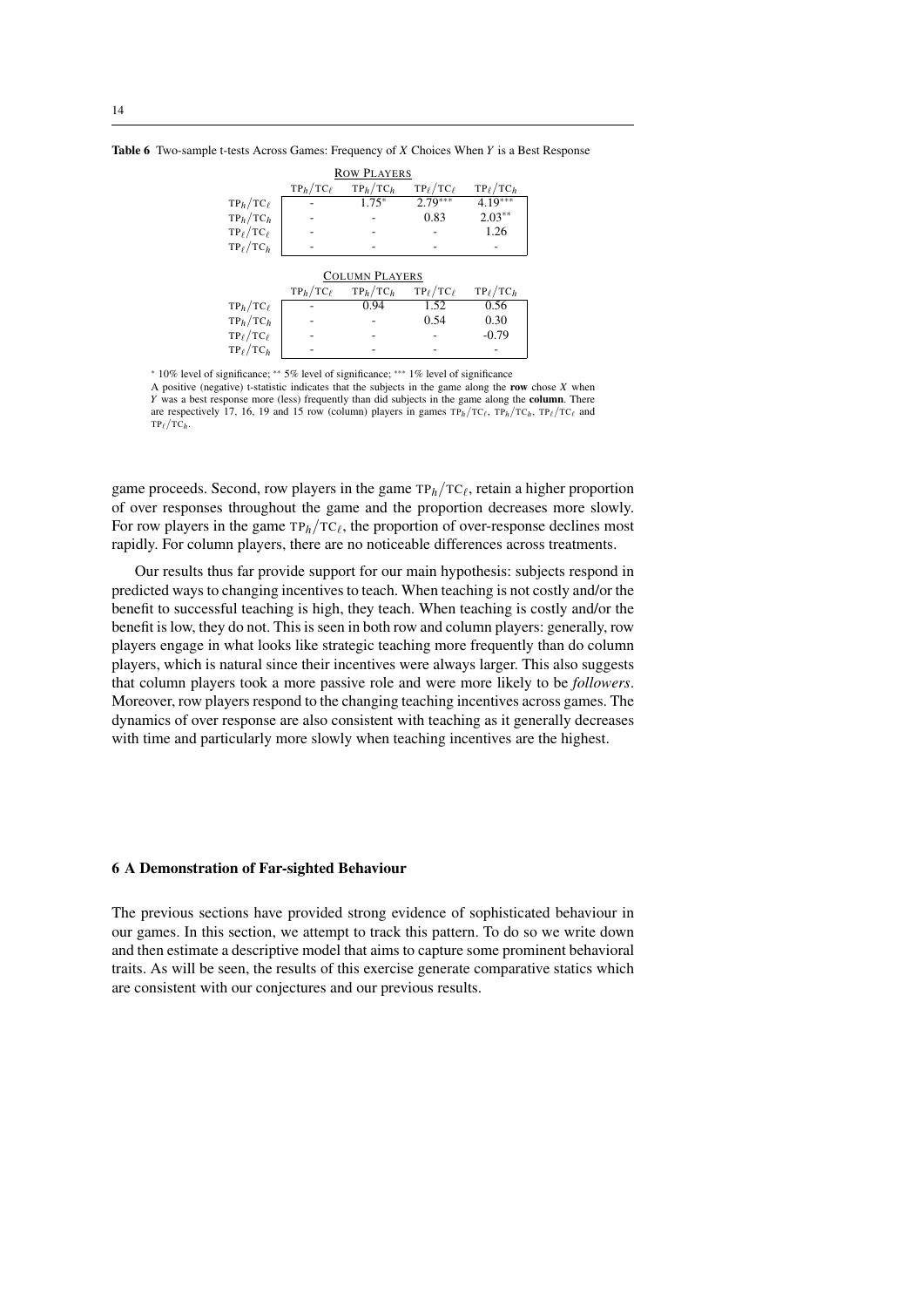#### Table 6 Two-sample t-tests Across Games: Frequency of *X* Choices When *Y* is a Best Response

|                       | <b>ROW PLAYERS</b>                           |                       |                  |
|-----------------------|----------------------------------------------|-----------------------|------------------|
|                       | $TP_h/TC_\ell$ $TP_h/TC_h$                   | $TP_{\ell}/TC_{\ell}$ | $TP_{\ell}/TC_h$ |
| $TP_h/TC_\ell$        | $1.75*$                                      | $2.79***$             | $4.19***$        |
| $TP_h/TC_h$           |                                              | 0.83                  | $2.03**$         |
| $TP_{\ell}/TC_{\ell}$ |                                              |                       | 1.26             |
| $TP_{\ell}/TC_h$      |                                              |                       |                  |
|                       |                                              |                       |                  |
|                       | <b>COLUMN PLAYERS</b>                        |                       |                  |
|                       | $TP_h/TC_\ell$ $TP_h/TC_h$ $TP_\ell/TC_\ell$ |                       | $TP_{\ell}/TC_h$ |
| $TP_h/TC_\ell$        | 0.94                                         | 1.52                  | 0.56             |
| $TP_h/TC_h$           |                                              | 0.54                  | 0.30             |
| $TP_{\ell}/TC_{\ell}$ |                                              |                       | $-0.79$          |
| $TP_{\ell}/TC_h$      |                                              |                       |                  |

<sup>∗</sup> 10% level of significance; ∗∗ 5% level of significance; ∗∗∗ 1% level of significance

A positive (negative) t-statistic indicates that the subjects in the game along the row chose *X* when *Y* was a best response more (less) frequently than did subjects in the game along the column. There are respectively 17, 16, 19 and 15 row (column) players in games  $TP_h/TC_\ell$ ,  $TP_h/TC_h$ ,  $TP_\ell/TC_\ell$  and  $TP_{\ell}/TC_h$ .

game proceeds. Second, row players in the game  $TP_h/TC_\ell$ , retain a higher proportion of over responses throughout the game and the proportion decreases more slowly. For row players in the game  $TP_h/TC_\ell$ , the proportion of over-response declines most rapidly. For column players, there are no noticeable differences across treatments.

Our results thus far provide support for our main hypothesis: subjects respond in predicted ways to changing incentives to teach. When teaching is not costly and/or the benefit to successful teaching is high, they teach. When teaching is costly and/or the benefit is low, they do not. This is seen in both row and column players: generally, row players engage in what looks like strategic teaching more frequently than do column players, which is natural since their incentives were always larger. This also suggests that column players took a more passive role and were more likely to be *followers*. Moreover, row players respond to the changing teaching incentives across games. The dynamics of over response are also consistent with teaching as it generally decreases with time and particularly more slowly when teaching incentives are the highest.

### 6 A Demonstration of Far-sighted Behaviour

The previous sections have provided strong evidence of sophisticated behaviour in our games. In this section, we attempt to track this pattern. To do so we write down and then estimate a descriptive model that aims to capture some prominent behavioral traits. As will be seen, the results of this exercise generate comparative statics which are consistent with our conjectures and our previous results.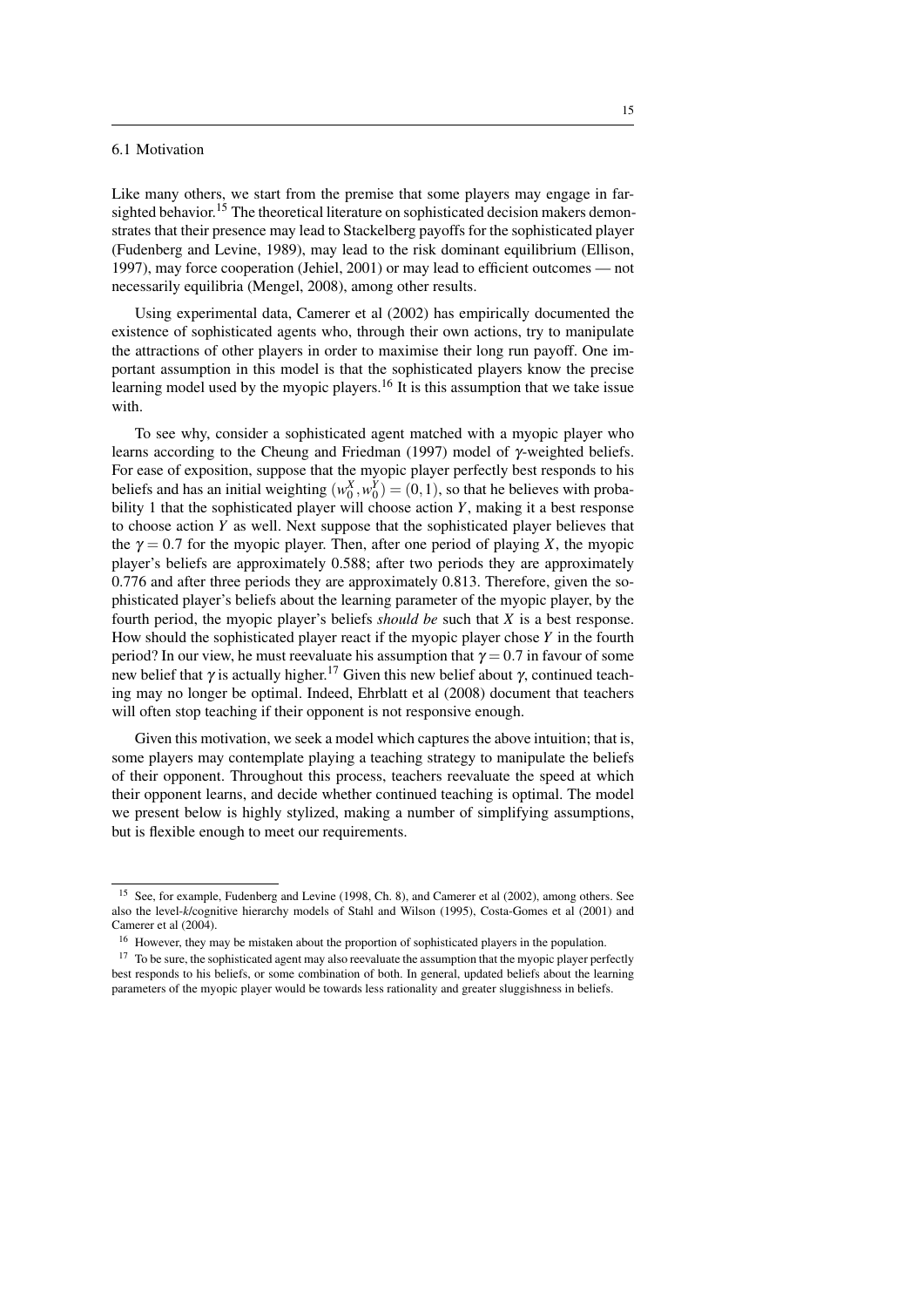### 6.1 Motivation

Like many others, we start from the premise that some players may engage in farsighted behavior.<sup>15</sup> The theoretical literature on sophisticated decision makers demonstrates that their presence may lead to Stackelberg payoffs for the sophisticated player (Fudenberg and Levine, 1989), may lead to the risk dominant equilibrium (Ellison, 1997), may force cooperation (Jehiel, 2001) or may lead to efficient outcomes — not necessarily equilibria (Mengel, 2008), among other results.

Using experimental data, Camerer et al (2002) has empirically documented the existence of sophisticated agents who, through their own actions, try to manipulate the attractions of other players in order to maximise their long run payoff. One important assumption in this model is that the sophisticated players know the precise learning model used by the myopic players.<sup>16</sup> It is this assumption that we take issue with.

To see why, consider a sophisticated agent matched with a myopic player who learns according to the Cheung and Friedman (1997) model of γ-weighted beliefs. For ease of exposition, suppose that the myopic player perfectly best responds to his beliefs and has an initial weighting  $(w_0^X, w_0^Y) = (0, 1)$ , so that he believes with probability 1 that the sophisticated player will choose action *Y*, making it a best response to choose action *Y* as well. Next suppose that the sophisticated player believes that the  $\gamma = 0.7$  for the myopic player. Then, after one period of playing *X*, the myopic player's beliefs are approximately 0.588; after two periods they are approximately 0.776 and after three periods they are approximately 0.813. Therefore, given the sophisticated player's beliefs about the learning parameter of the myopic player, by the fourth period, the myopic player's beliefs *should be* such that *X* is a best response. How should the sophisticated player react if the myopic player chose *Y* in the fourth period? In our view, he must reevaluate his assumption that  $\gamma = 0.7$  in favour of some new belief that γ is actually higher.<sup>17</sup> Given this new belief about γ, continued teaching may no longer be optimal. Indeed, Ehrblatt et al (2008) document that teachers will often stop teaching if their opponent is not responsive enough.

Given this motivation, we seek a model which captures the above intuition; that is, some players may contemplate playing a teaching strategy to manipulate the beliefs of their opponent. Throughout this process, teachers reevaluate the speed at which their opponent learns, and decide whether continued teaching is optimal. The model we present below is highly stylized, making a number of simplifying assumptions, but is flexible enough to meet our requirements.

<sup>&</sup>lt;sup>15</sup> See, for example, Fudenberg and Levine (1998, Ch. 8), and Camerer et al (2002), among others. See also the level-*k*/cognitive hierarchy models of Stahl and Wilson (1995), Costa-Gomes et al (2001) and Camerer et al (2004).

<sup>&</sup>lt;sup>16</sup> However, they may be mistaken about the proportion of sophisticated players in the population.

<sup>&</sup>lt;sup>17</sup> To be sure, the sophisticated agent may also reevaluate the assumption that the myopic player perfectly best responds to his beliefs, or some combination of both. In general, updated beliefs about the learning parameters of the myopic player would be towards less rationality and greater sluggishness in beliefs.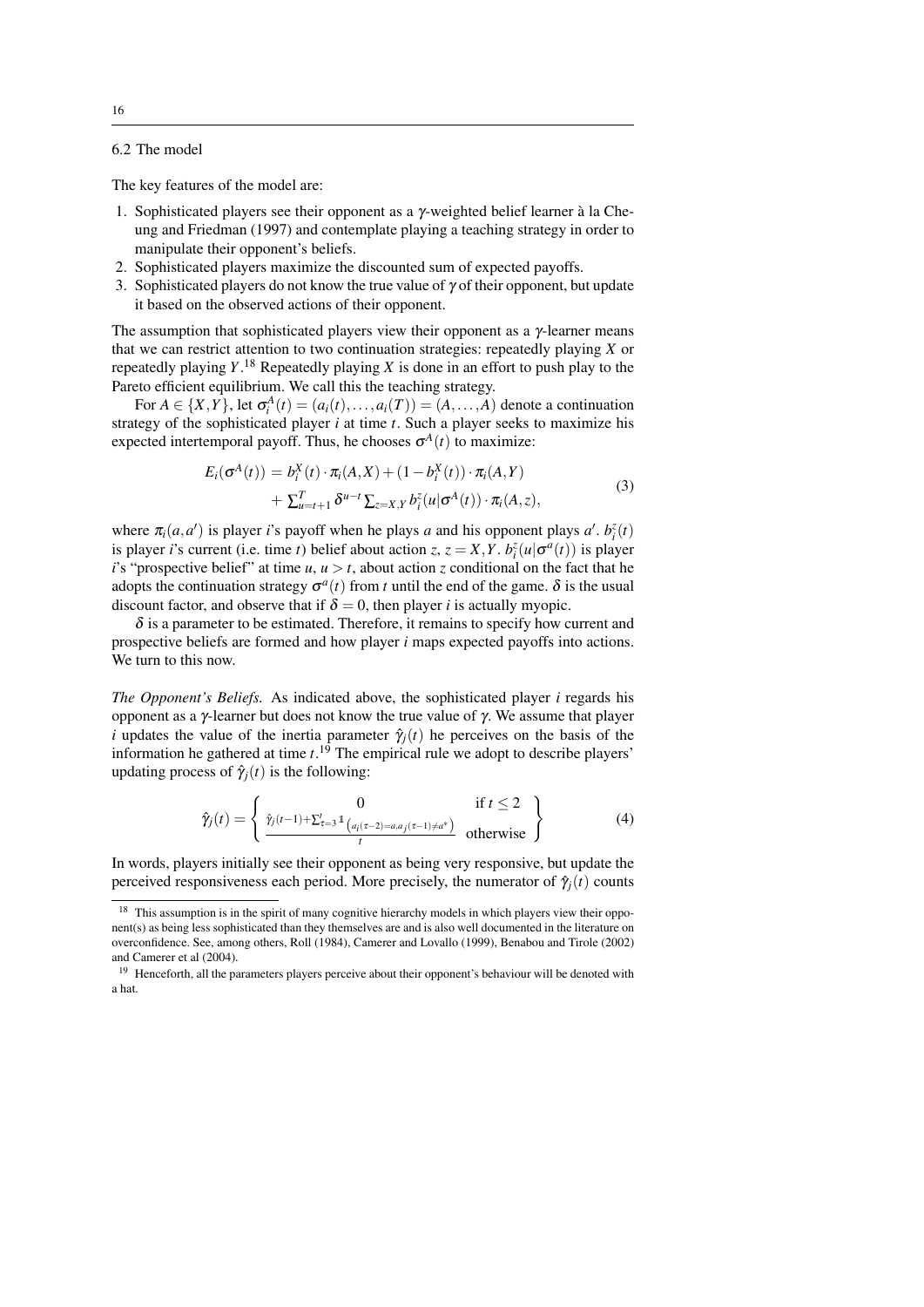# 6.2 The model

The key features of the model are:

- 1. Sophisticated players see their opponent as a γ-weighted belief learner a la Che- ` ung and Friedman (1997) and contemplate playing a teaching strategy in order to manipulate their opponent's beliefs.
- 2. Sophisticated players maximize the discounted sum of expected payoffs.
- 3. Sophisticated players do not know the true value of  $\gamma$  of their opponent, but update it based on the observed actions of their opponent.

The assumption that sophisticated players view their opponent as a  $\gamma$ -learner means that we can restrict attention to two continuation strategies: repeatedly playing *X* or repeatedly playing *Y*. <sup>18</sup> Repeatedly playing *X* is done in an effort to push play to the Pareto efficient equilibrium. We call this the teaching strategy.

For  $A \in \{X, Y\}$ , let  $\sigma_i^A(t) = (a_i(t), \ldots, a_i(T)) = (A, \ldots, A)$  denote a continuation strategy of the sophisticated player *i* at time *t*. Such a player seeks to maximize his expected intertemporal payoff. Thus, he chooses  $\sigma^A(t)$  to maximize:

$$
E_i(\sigma^A(t)) = b_i^X(t) \cdot \pi_i(A, X) + (1 - b_i^X(t)) \cdot \pi_i(A, Y)
$$
  
+ 
$$
\sum_{u=t+1}^T \delta^{u-t} \sum_{z=X,Y} b_i^Z(u | \sigma^A(t)) \cdot \pi_i(A, z),
$$
 (3)

where  $\pi_i(a, a')$  is player *i*'s payoff when he plays *a* and his opponent plays *a'*.  $b_i^z(t)$ is player *i*'s current (i.e. time *t*) belief about action *z*, *z* = *X*, *Y*.  $b_i^z(u|\sigma^a(t))$  is player *i*'s "prospective belief" at time  $u, u > t$ , about action *z* conditional on the fact that he adopts the continuation strategy  $\sigma^a(t)$  from *t* until the end of the game.  $\delta$  is the usual discount factor, and observe that if  $\delta = 0$ , then player *i* is actually myopic.

 $\delta$  is a parameter to be estimated. Therefore, it remains to specify how current and prospective beliefs are formed and how player *i* maps expected payoffs into actions. We turn to this now.

*The Opponent's Beliefs.* As indicated above, the sophisticated player *i* regards his opponent as a γ-learner but does not know the true value of γ. We assume that player *i* updates the value of the inertia parameter  $\hat{\gamma}_i(t)$  he perceives on the basis of the information he gathered at time *t*. <sup>19</sup> The empirical rule we adopt to describe players' updating process of  $\hat{\gamma}_i(t)$  is the following:

$$
\hat{\gamma}_j(t) = \left\{ \underbrace{\hat{\gamma}_j(t-1) + \sum_{\tau=3}^t \mathbb{1}_{\left(a_j(\tau-2) = a, a_j(\tau-1) \neq a^*\right)} \text{ otherwise}}_{t} \quad \text{otherwise} \quad (4)
$$

In words, players initially see their opponent as being very responsive, but update the perceived responsiveness each period. More precisely, the numerator of  $\hat{\gamma}_i(t)$  counts

<sup>&</sup>lt;sup>18</sup> This assumption is in the spirit of many cognitive hierarchy models in which players view their opponent(s) as being less sophisticated than they themselves are and is also well documented in the literature on overconfidence. See, among others, Roll (1984), Camerer and Lovallo (1999), Benabou and Tirole (2002) and Camerer et al (2004).

<sup>&</sup>lt;sup>19</sup> Henceforth, all the parameters players perceive about their opponent's behaviour will be denoted with a hat.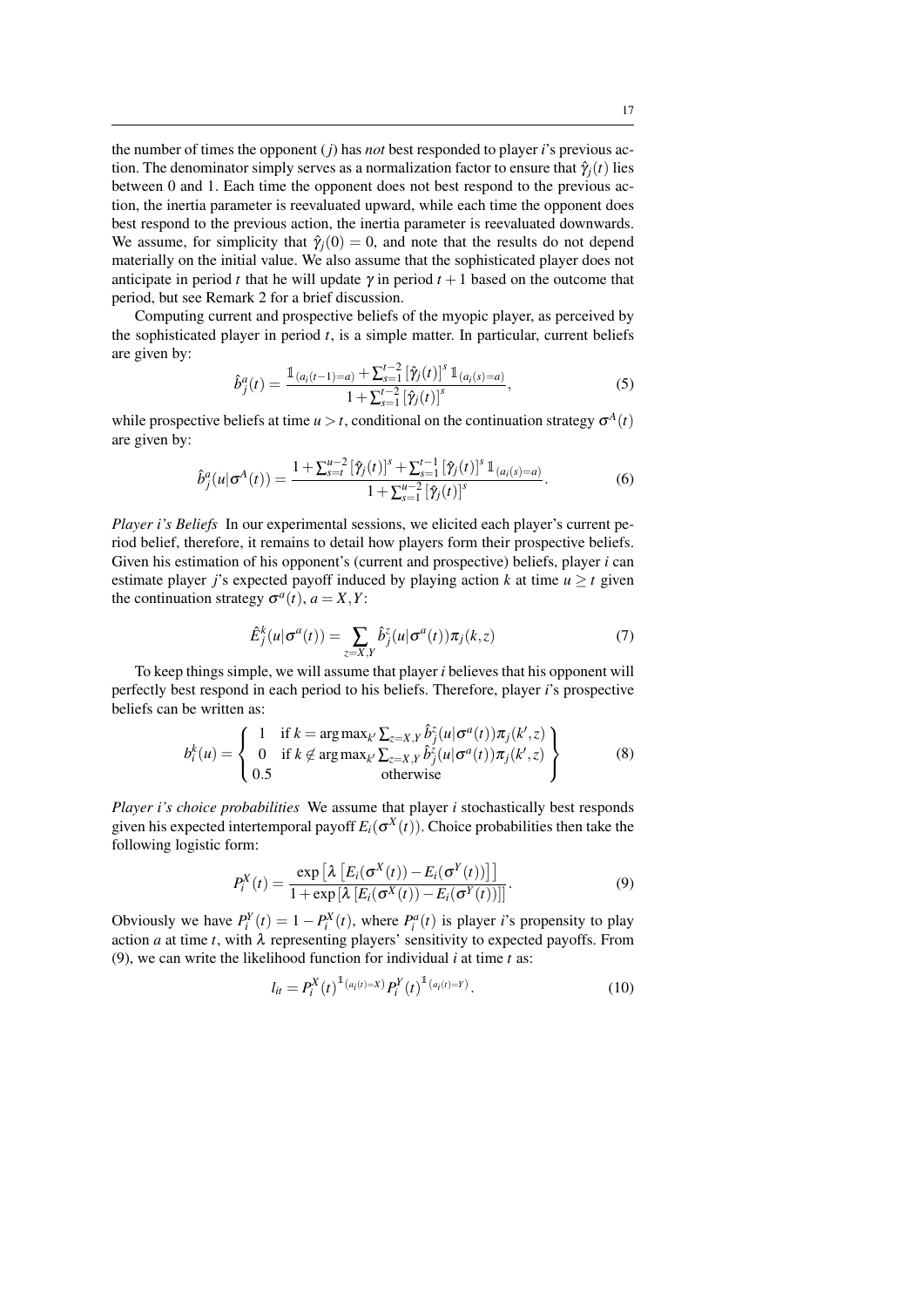the number of times the opponent (*j*) has *not* best responded to player *i*'s previous action. The denominator simply serves as a normalization factor to ensure that  $\hat{\gamma}_i(t)$  lies between 0 and 1. Each time the opponent does not best respond to the previous action, the inertia parameter is reevaluated upward, while each time the opponent does best respond to the previous action, the inertia parameter is reevaluated downwards. We assume, for simplicity that  $\hat{\gamma}_i(0) = 0$ , and note that the results do not depend materially on the initial value. We also assume that the sophisticated player does not anticipate in period *t* that he will update  $\gamma$  in period  $t + 1$  based on the outcome that period, but see Remark 2 for a brief discussion.

Computing current and prospective beliefs of the myopic player, as perceived by the sophisticated player in period *t*, is a simple matter. In particular, current beliefs are given by:

$$
\hat{b}_j^a(t) = \frac{\mathbb{1}_{(a_i(t-1)=a)} + \sum_{s=1}^{t-2} \left[ \hat{\gamma}_j(t) \right]^s \mathbb{1}_{(a_i(s)=a)}}{1 + \sum_{s=1}^{t-2} \left[ \hat{\gamma}_j(t) \right]^s},\tag{5}
$$

while prospective beliefs at time  $u > t$ , conditional on the continuation strategy  $\sigma^A(t)$ are given by:

$$
\hat{b}_j^a(u|\sigma^A(t)) = \frac{1 + \sum_{s=i}^{u-2} [\hat{\gamma}_j(t)]^s + \sum_{s=1}^{t-1} [\hat{\gamma}_j(t)]^s \mathbb{1}_{(a_i(s) = a)}}{1 + \sum_{s=1}^{u-2} [\hat{\gamma}_j(t)]^s}.
$$
(6)

*Player i's Beliefs* In our experimental sessions, we elicited each player's current period belief, therefore, it remains to detail how players form their prospective beliefs. Given his estimation of his opponent's (current and prospective) beliefs, player *i* can estimate player *j*'s expected payoff induced by playing action *k* at time  $u \ge t$  given the continuation strategy  $\sigma^a(t)$ ,  $a = X, Y$ :

$$
\hat{E}_j^k(u|\sigma^a(t)) = \sum_{z=X,Y} \hat{b}_j^z(u|\sigma^a(t))\pi_j(k,z)
$$
\n(7)

To keep things simple, we will assume that player *i* believes that his opponent will perfectly best respond in each period to his beliefs. Therefore, player *i*'s prospective beliefs can be written as:

$$
b_i^k(u) = \begin{cases} 1 & \text{if } k = \arg \max_{k'} \sum_{z = X,Y} \hat{b}_j^z(u | \sigma^a(t)) \pi_j(k', z) \\ 0 & \text{if } k \notin \arg \max_{k'} \sum_{z = X,Y} \hat{b}_j^z(u | \sigma^a(t)) \pi_j(k', z) \\ 0.5 & \text{otherwise} \end{cases}
$$
(8)

*Player i's choice probabilities* We assume that player *i* stochastically best responds given his expected intertemporal payoff  $E_i(\sigma^X(t))$ . Choice probabilities then take the following logistic form:

$$
P_i^X(t) = \frac{\exp\left[\lambda \left[E_i(\sigma^X(t)) - E_i(\sigma^Y(t))\right]\right]}{1 + \exp\left[\lambda \left[E_i(\sigma^X(t)) - E_i(\sigma^Y(t))\right]\right]}.
$$
\n(9)

Obviously we have  $P_i^Y(t) = 1 - P_i^X(t)$ , where  $P_i^a(t)$  is player *i*'s propensity to play action *a* at time *t*, with  $\lambda$  representing players' sensitivity to expected payoffs. From (9), we can write the likelihood function for individual *i* at time *t* as:

$$
l_{it} = P_i^X(t)^{1_{(a_i(t) = X)} P_i^Y(t)^{1_{(a_i(t) = Y)}}.
$$
\n(10)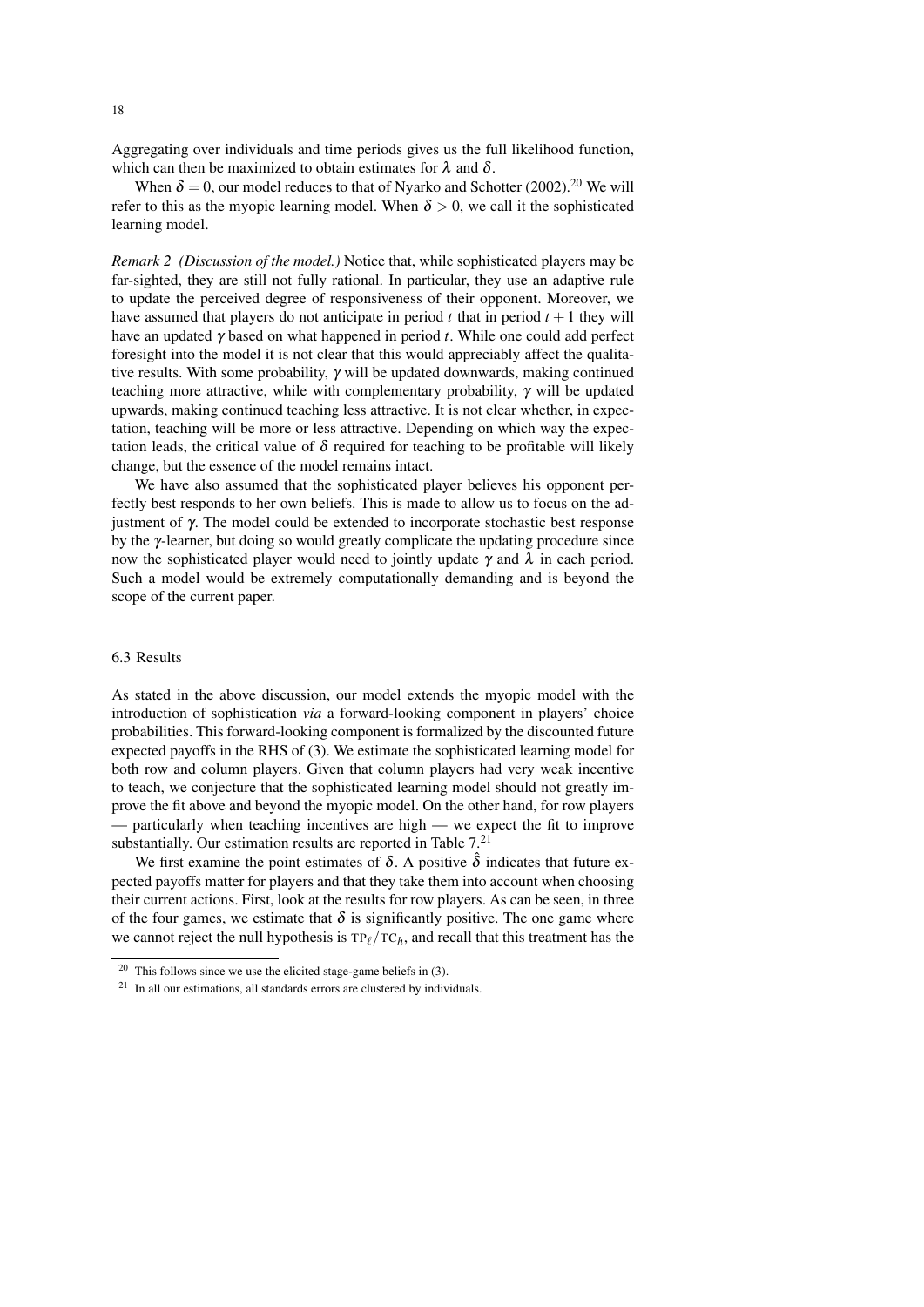Aggregating over individuals and time periods gives us the full likelihood function, which can then be maximized to obtain estimates for  $\lambda$  and  $\delta$ .

When  $\delta = 0$ , our model reduces to that of Nyarko and Schotter (2002).<sup>20</sup> We will refer to this as the myopic learning model. When  $\delta > 0$ , we call it the sophisticated learning model.

*Remark 2 (Discussion of the model.)* Notice that, while sophisticated players may be far-sighted, they are still not fully rational. In particular, they use an adaptive rule to update the perceived degree of responsiveness of their opponent. Moreover, we have assumed that players do not anticipate in period  $t$  that in period  $t + 1$  they will have an updated γ based on what happened in period *t*. While one could add perfect foresight into the model it is not clear that this would appreciably affect the qualitative results. With some probability,  $\gamma$  will be updated downwards, making continued teaching more attractive, while with complementary probability,  $\gamma$  will be updated upwards, making continued teaching less attractive. It is not clear whether, in expectation, teaching will be more or less attractive. Depending on which way the expectation leads, the critical value of  $\delta$  required for teaching to be profitable will likely change, but the essence of the model remains intact.

We have also assumed that the sophisticated player believes his opponent perfectly best responds to her own beliefs. This is made to allow us to focus on the adjustment of γ. The model could be extended to incorporate stochastic best response by the γ-learner, but doing so would greatly complicate the updating procedure since now the sophisticated player would need to jointly update γ and  $λ$  in each period. Such a model would be extremely computationally demanding and is beyond the scope of the current paper.

## 6.3 Results

As stated in the above discussion, our model extends the myopic model with the introduction of sophistication *via* a forward-looking component in players' choice probabilities. This forward-looking component is formalized by the discounted future expected payoffs in the RHS of (3). We estimate the sophisticated learning model for both row and column players. Given that column players had very weak incentive to teach, we conjecture that the sophisticated learning model should not greatly improve the fit above and beyond the myopic model. On the other hand, for row players — particularly when teaching incentives are high — we expect the fit to improve substantially. Our estimation results are reported in Table 7.<sup>21</sup>

We first examine the point estimates of  $\delta$ . A positive  $\delta$  indicates that future expected payoffs matter for players and that they take them into account when choosing their current actions. First, look at the results for row players. As can be seen, in three of the four games, we estimate that  $\delta$  is significantly positive. The one game where we cannot reject the null hypothesis is  $TP_\ell/TC_h$ , and recall that this treatment has the

 $20$  This follows since we use the elicited stage-game beliefs in (3).

<sup>&</sup>lt;sup>21</sup> In all our estimations, all standards errors are clustered by individuals.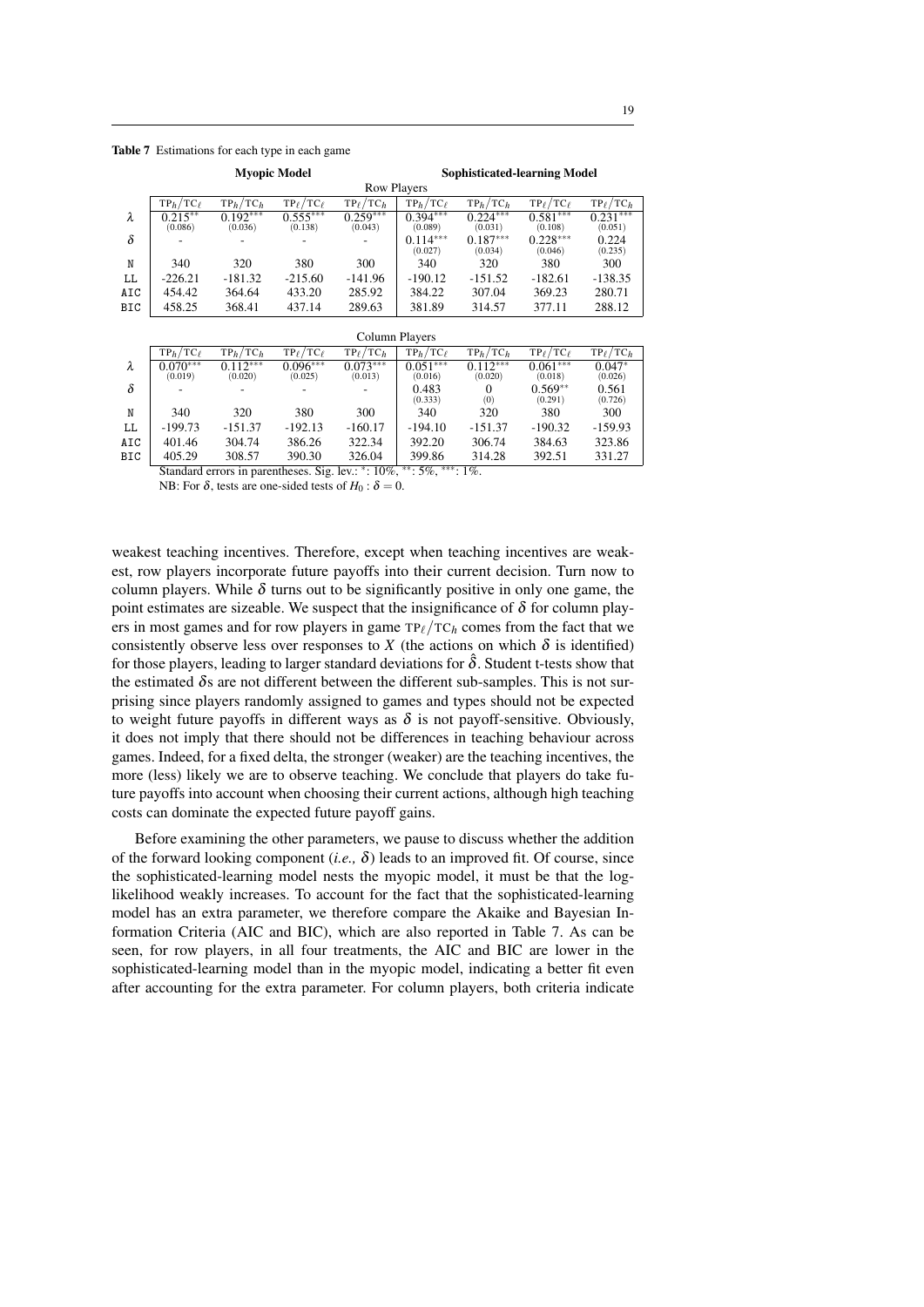#### Table 7 Estimations for each type in each game

|          |                       | <b>Myopic Model</b>   |                       |                       | <b>Sophisticated-learning Model</b> |                       |                       |                       |  |  |  |  |
|----------|-----------------------|-----------------------|-----------------------|-----------------------|-------------------------------------|-----------------------|-----------------------|-----------------------|--|--|--|--|
|          |                       |                       |                       | <b>Row Players</b>    |                                     |                       |                       |                       |  |  |  |  |
|          | $TP_h/TC_\ell$        | $TP_h/TC_h$           | $TP_{\ell}/TC_{\ell}$ | $TP_{\ell}/TC_h$      | $TP_h/TC_\ell$                      | $TP_h/TC_h$           | $TP_{\ell}/TC_{\ell}$ | $TP_{\ell}/TC_h$      |  |  |  |  |
| λ        | $0.215***$<br>(0.086) | $0.192***$<br>(0.036) | $0.555***$<br>(0.138) | $0.259***$<br>(0.043) | $0.394***$<br>(0.089)               | $0.224***$<br>(0.031) | $0.581***$<br>(0.108) | $0.231***$<br>(0.051) |  |  |  |  |
| $\delta$ |                       |                       |                       |                       | $0.114***$<br>(0.027)               | $0.187***$<br>(0.034) | $0.228***$<br>(0.046) | 0.224<br>(0.235)      |  |  |  |  |
| N        | 340                   | 320                   | 380                   | 300                   | 340                                 | 320                   | 380                   | 300                   |  |  |  |  |
| LL       | $-226.21$             | $-181.32$             | $-215.60$             | $-141.96$             | $-190.12$                           | $-151.52$             | $-182.61$             | $-138.35$             |  |  |  |  |
| AIC      | 454.42                | 364.64                | 433.20                | 285.92                | 384.22                              | 307.04                | 369.23                | 280.71                |  |  |  |  |
| BIC      | 458.25                | 368.41                | 437.14                | 289.63                | 381.89                              | 314.57                | 377.11                | 288.12                |  |  |  |  |
|          |                       |                       |                       |                       |                                     |                       |                       |                       |  |  |  |  |
|          |                       |                       |                       | Column Players        |                                     |                       |                       |                       |  |  |  |  |
|          | $TP_h/TC_\ell$        | $TP_h/TC_h$           | $TP_{\ell}/TC_{\ell}$ | $TP_{\ell}/TC_h$      | $TP_h/TC_\ell$                      | $TP_h/TC_h$           | $TP_{\ell}/TC_{\ell}$ | $TP_{\ell}/TC_h$      |  |  |  |  |
| λ        | $0.070***$<br>(0.019) | $0.112***$<br>(0.020) | $0.096***$<br>(0.025) | $0.073***$<br>(0.013) | $0.051***$<br>(0.016)               | $0.112***$<br>(0.020) | $0.061***$<br>(0.018) | $0.047*$<br>(0.026)   |  |  |  |  |

N 340 320 380 300 340 320 380 300 LL -199.73 -151.37 -192.13 -160.17 -194.10 -151.37 -190.32 -159.93 AIC 401.46 304.74 386.26 322.34 392.20 306.74 384.63 323.86 BIC 405.29 308.57 390.30 326.04 399.86 314.28 392.51 331.27

 $(0.333)$ 

 $\Omega$  $(0)$  0.569∗∗  $(0.291)$   $0.561$  $(0.726)$ 

Standard errors in parentheses. Sig. lev.: \*: 10%, \*\*: 5%, \*\*\*: 1%.

NB: For  $\delta$ , tests are one-sided tests of  $H_0$ :  $\delta = 0$ .

 $\delta$  - - - - - 0.483

weakest teaching incentives. Therefore, except when teaching incentives are weakest, row players incorporate future payoffs into their current decision. Turn now to column players. While  $\delta$  turns out to be significantly positive in only one game, the point estimates are sizeable. We suspect that the insignificance of  $\delta$  for column players in most games and for row players in game  $TP_\ell/TC_h$  comes from the fact that we consistently observe less over responses to *X* (the actions on which  $\delta$  is identified) for those players, leading to larger standard deviations for  $\delta$ . Student t-tests show that the estimated  $\delta s$  are not different between the different sub-samples. This is not surprising since players randomly assigned to games and types should not be expected to weight future payoffs in different ways as  $\delta$  is not payoff-sensitive. Obviously, it does not imply that there should not be differences in teaching behaviour across games. Indeed, for a fixed delta, the stronger (weaker) are the teaching incentives, the more (less) likely we are to observe teaching. We conclude that players do take future payoffs into account when choosing their current actions, although high teaching costs can dominate the expected future payoff gains.

Before examining the other parameters, we pause to discuss whether the addition of the forward looking component (*i.e.*,  $\delta$ ) leads to an improved fit. Of course, since the sophisticated-learning model nests the myopic model, it must be that the loglikelihood weakly increases. To account for the fact that the sophisticated-learning model has an extra parameter, we therefore compare the Akaike and Bayesian Information Criteria (AIC and BIC), which are also reported in Table 7. As can be seen, for row players, in all four treatments, the AIC and BIC are lower in the sophisticated-learning model than in the myopic model, indicating a better fit even after accounting for the extra parameter. For column players, both criteria indicate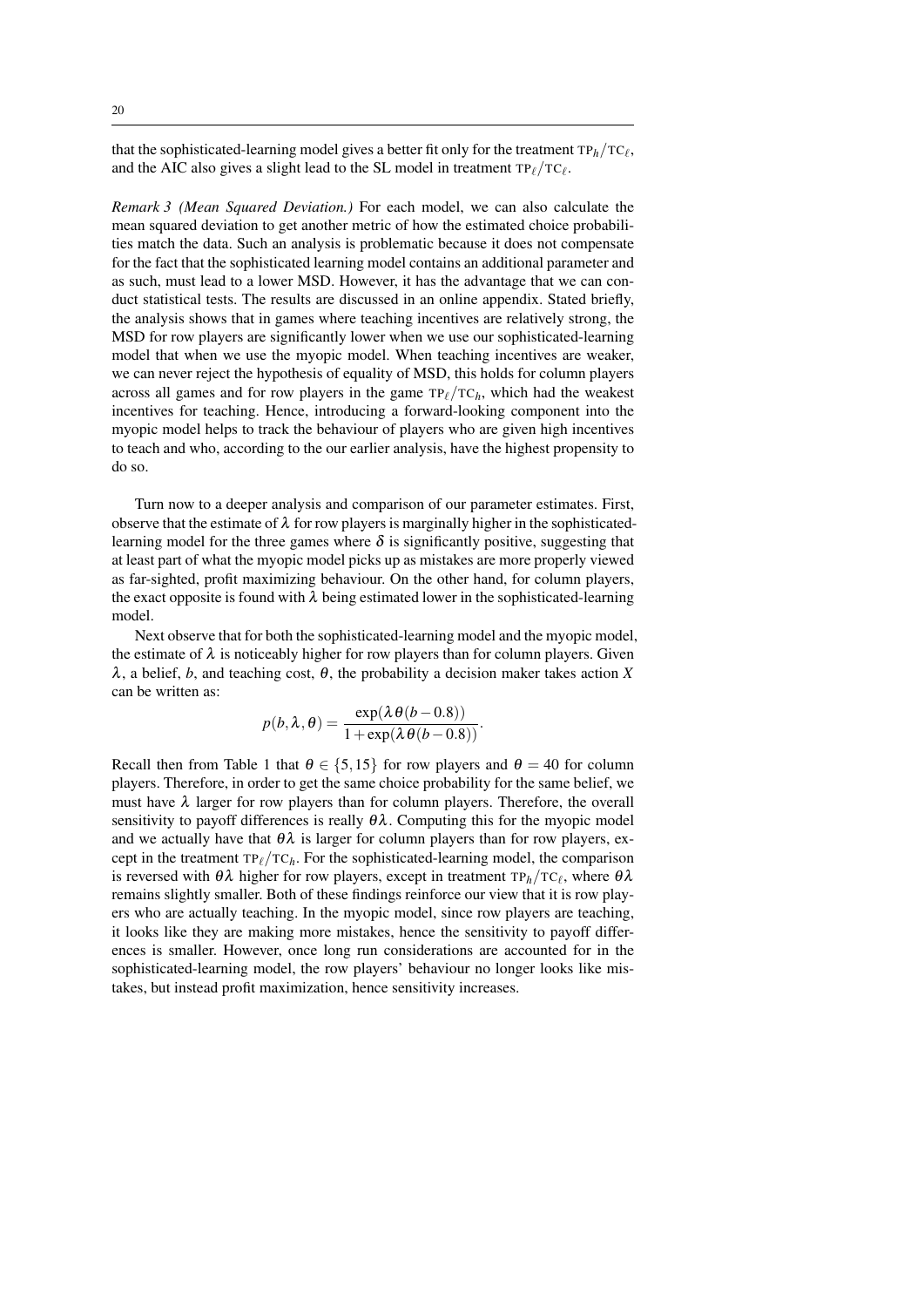that the sophisticated-learning model gives a better fit only for the treatment  $TP_h/TC_\ell$ , and the AIC also gives a slight lead to the SL model in treatment  $TP_\ell/TC_\ell$ .

*Remark 3 (Mean Squared Deviation.)* For each model, we can also calculate the mean squared deviation to get another metric of how the estimated choice probabilities match the data. Such an analysis is problematic because it does not compensate for the fact that the sophisticated learning model contains an additional parameter and as such, must lead to a lower MSD. However, it has the advantage that we can conduct statistical tests. The results are discussed in an online appendix. Stated briefly, the analysis shows that in games where teaching incentives are relatively strong, the MSD for row players are significantly lower when we use our sophisticated-learning model that when we use the myopic model. When teaching incentives are weaker, we can never reject the hypothesis of equality of MSD, this holds for column players across all games and for row players in the game  $TP_\ell/TC_h$ , which had the weakest incentives for teaching. Hence, introducing a forward-looking component into the myopic model helps to track the behaviour of players who are given high incentives to teach and who, according to the our earlier analysis, have the highest propensity to do so.

Turn now to a deeper analysis and comparison of our parameter estimates. First, observe that the estimate of  $\lambda$  for row players is marginally higher in the sophisticatedlearning model for the three games where  $\delta$  is significantly positive, suggesting that at least part of what the myopic model picks up as mistakes are more properly viewed as far-sighted, profit maximizing behaviour. On the other hand, for column players, the exact opposite is found with  $\lambda$  being estimated lower in the sophisticated-learning model.

Next observe that for both the sophisticated-learning model and the myopic model, the estimate of  $\lambda$  is noticeably higher for row players than for column players. Given λ, a belief, *b*, and teaching cost, θ, the probability a decision maker takes action *X* can be written as:

$$
p(b, \lambda, \theta) = \frac{\exp(\lambda \theta(b - 0.8))}{1 + \exp(\lambda \theta(b - 0.8))}.
$$

Recall then from Table 1 that  $\theta \in \{5, 15\}$  for row players and  $\theta = 40$  for column players. Therefore, in order to get the same choice probability for the same belief, we must have  $\lambda$  larger for row players than for column players. Therefore, the overall sensitivity to payoff differences is really  $\theta \lambda$ . Computing this for the myopic model and we actually have that  $\theta \lambda$  is larger for column players than for row players, except in the treatment  $TP_{\ell}/TC_{h}$ . For the sophisticated-learning model, the comparison is reversed with  $\theta \lambda$  higher for row players, except in treatment  $TP_h/TC_\ell$ , where  $\theta \lambda$ remains slightly smaller. Both of these findings reinforce our view that it is row players who are actually teaching. In the myopic model, since row players are teaching, it looks like they are making more mistakes, hence the sensitivity to payoff differences is smaller. However, once long run considerations are accounted for in the sophisticated-learning model, the row players' behaviour no longer looks like mistakes, but instead profit maximization, hence sensitivity increases.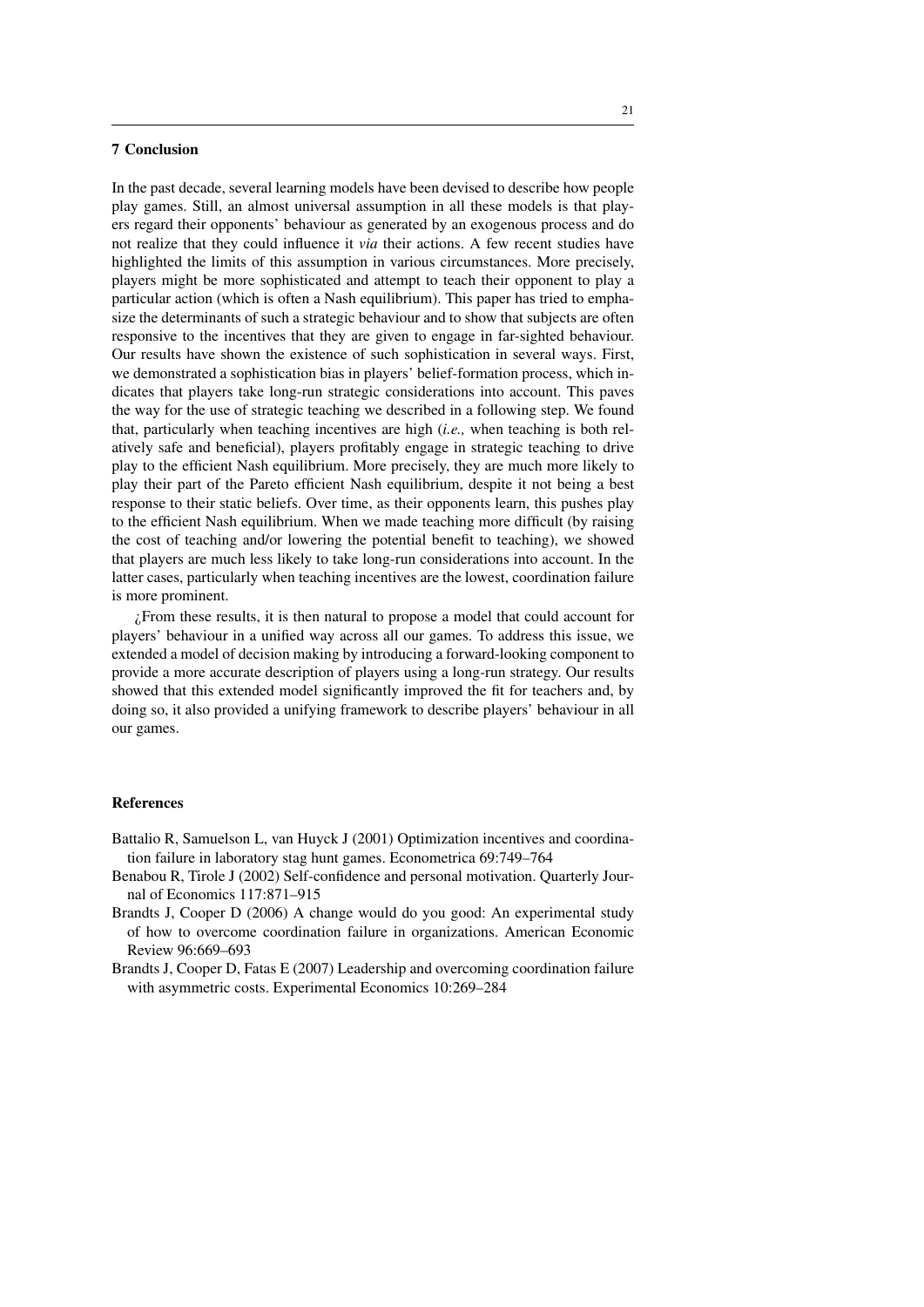### 7 Conclusion

In the past decade, several learning models have been devised to describe how people play games. Still, an almost universal assumption in all these models is that players regard their opponents' behaviour as generated by an exogenous process and do not realize that they could influence it *via* their actions. A few recent studies have highlighted the limits of this assumption in various circumstances. More precisely, players might be more sophisticated and attempt to teach their opponent to play a particular action (which is often a Nash equilibrium). This paper has tried to emphasize the determinants of such a strategic behaviour and to show that subjects are often responsive to the incentives that they are given to engage in far-sighted behaviour. Our results have shown the existence of such sophistication in several ways. First, we demonstrated a sophistication bias in players' belief-formation process, which indicates that players take long-run strategic considerations into account. This paves the way for the use of strategic teaching we described in a following step. We found that, particularly when teaching incentives are high (*i.e.,* when teaching is both relatively safe and beneficial), players profitably engage in strategic teaching to drive play to the efficient Nash equilibrium. More precisely, they are much more likely to play their part of the Pareto efficient Nash equilibrium, despite it not being a best response to their static beliefs. Over time, as their opponents learn, this pushes play to the efficient Nash equilibrium. When we made teaching more difficult (by raising the cost of teaching and/or lowering the potential benefit to teaching), we showed that players are much less likely to take long-run considerations into account. In the latter cases, particularly when teaching incentives are the lowest, coordination failure is more prominent.

¿From these results, it is then natural to propose a model that could account for players' behaviour in a unified way across all our games. To address this issue, we extended a model of decision making by introducing a forward-looking component to provide a more accurate description of players using a long-run strategy. Our results showed that this extended model significantly improved the fit for teachers and, by doing so, it also provided a unifying framework to describe players' behaviour in all our games.

## References

- Battalio R, Samuelson L, van Huyck J (2001) Optimization incentives and coordination failure in laboratory stag hunt games. Econometrica 69:749–764
- Benabou R, Tirole J (2002) Self-confidence and personal motivation. Quarterly Journal of Economics 117:871–915
- Brandts J, Cooper D (2006) A change would do you good: An experimental study of how to overcome coordination failure in organizations. American Economic Review 96:669–693
- Brandts J, Cooper D, Fatas E (2007) Leadership and overcoming coordination failure with asymmetric costs. Experimental Economics 10:269–284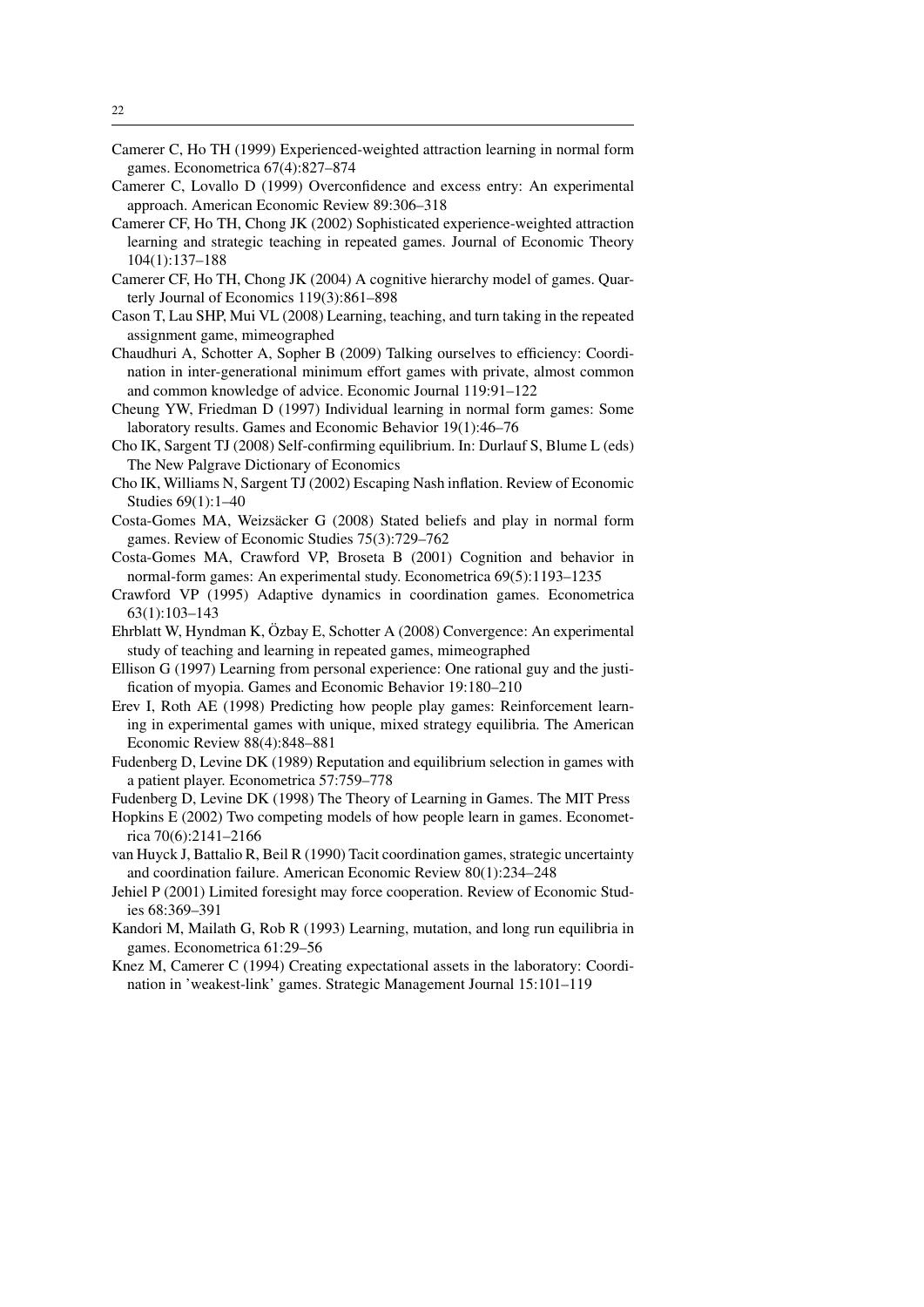- Camerer C, Ho TH (1999) Experienced-weighted attraction learning in normal form games. Econometrica 67(4):827–874
- Camerer C, Lovallo D (1999) Overconfidence and excess entry: An experimental approach. American Economic Review 89:306–318
- Camerer CF, Ho TH, Chong JK (2002) Sophisticated experience-weighted attraction learning and strategic teaching in repeated games. Journal of Economic Theory 104(1):137–188
- Camerer CF, Ho TH, Chong JK (2004) A cognitive hierarchy model of games. Quarterly Journal of Economics 119(3):861–898
- Cason T, Lau SHP, Mui VL (2008) Learning, teaching, and turn taking in the repeated assignment game, mimeographed
- Chaudhuri A, Schotter A, Sopher B (2009) Talking ourselves to efficiency: Coordination in inter-generational minimum effort games with private, almost common and common knowledge of advice. Economic Journal 119:91–122
- Cheung YW, Friedman D (1997) Individual learning in normal form games: Some laboratory results. Games and Economic Behavior 19(1):46–76
- Cho IK, Sargent TJ (2008) Self-confirming equilibrium. In: Durlauf S, Blume L (eds) The New Palgrave Dictionary of Economics
- Cho IK, Williams N, Sargent TJ (2002) Escaping Nash inflation. Review of Economic Studies 69(1):1–40
- Costa-Gomes MA, Weizsacker G (2008) Stated beliefs and play in normal form ¨ games. Review of Economic Studies 75(3):729–762
- Costa-Gomes MA, Crawford VP, Broseta B (2001) Cognition and behavior in normal-form games: An experimental study. Econometrica 69(5):1193–1235
- Crawford VP (1995) Adaptive dynamics in coordination games. Econometrica 63(1):103–143
- Ehrblatt W, Hyndman K, Özbay E, Schotter A (2008) Convergence: An experimental study of teaching and learning in repeated games, mimeographed
- Ellison G (1997) Learning from personal experience: One rational guy and the justification of myopia. Games and Economic Behavior 19:180–210
- Erev I, Roth AE (1998) Predicting how people play games: Reinforcement learning in experimental games with unique, mixed strategy equilibria. The American Economic Review 88(4):848–881
- Fudenberg D, Levine DK (1989) Reputation and equilibrium selection in games with a patient player. Econometrica 57:759–778
- Fudenberg D, Levine DK (1998) The Theory of Learning in Games. The MIT Press
- Hopkins E (2002) Two competing models of how people learn in games. Econometrica 70(6):2141–2166
- van Huyck J, Battalio R, Beil R (1990) Tacit coordination games, strategic uncertainty and coordination failure. American Economic Review 80(1):234–248
- Jehiel P (2001) Limited foresight may force cooperation. Review of Economic Studies 68:369–391
- Kandori M, Mailath G, Rob R (1993) Learning, mutation, and long run equilibria in games. Econometrica 61:29–56
- Knez M, Camerer C (1994) Creating expectational assets in the laboratory: Coordination in 'weakest-link' games. Strategic Management Journal 15:101–119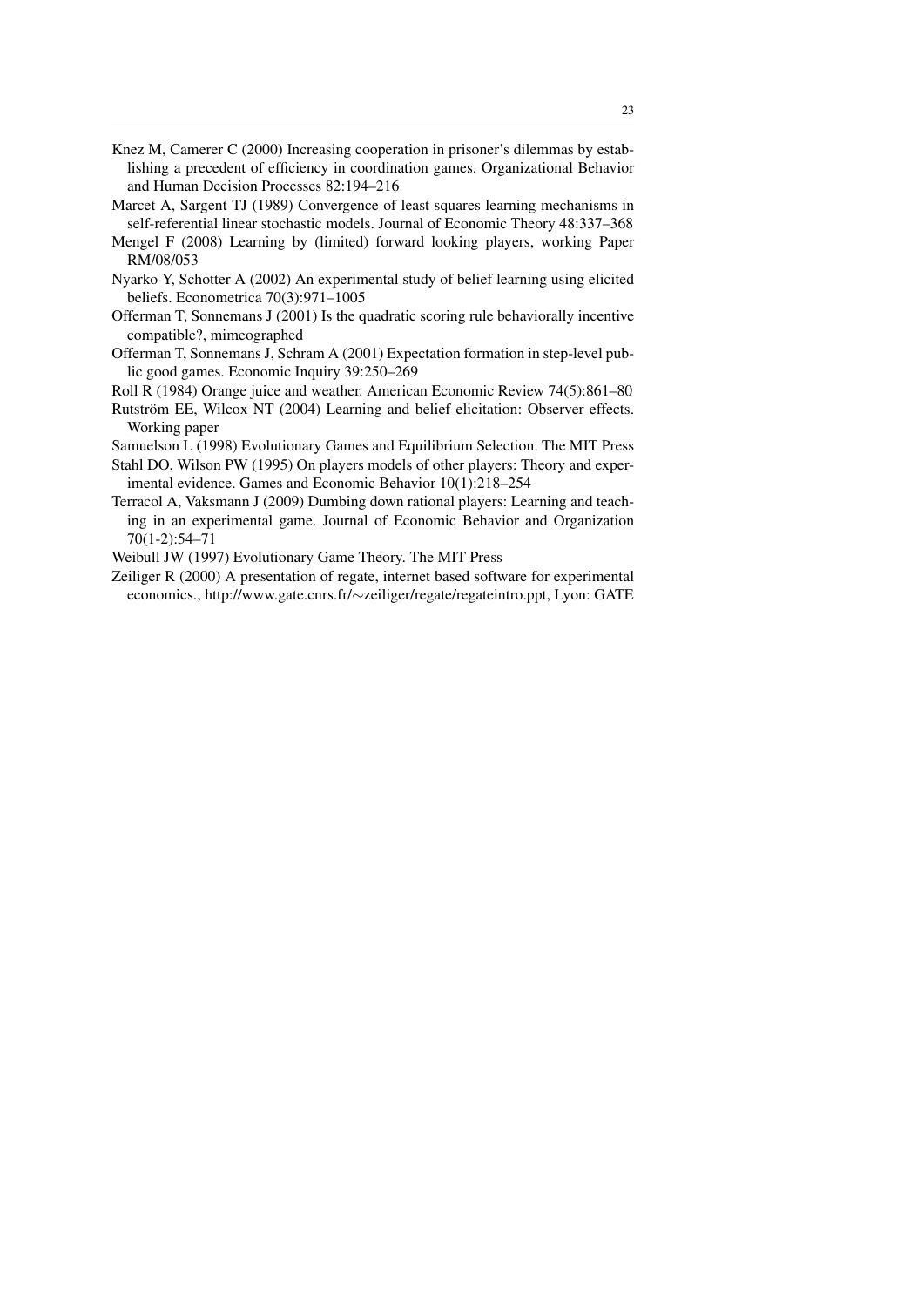- Knez M, Camerer C (2000) Increasing cooperation in prisoner's dilemmas by establishing a precedent of efficiency in coordination games. Organizational Behavior and Human Decision Processes 82:194–216
- Marcet A, Sargent TJ (1989) Convergence of least squares learning mechanisms in self-referential linear stochastic models. Journal of Economic Theory 48:337–368
- Mengel F (2008) Learning by (limited) forward looking players, working Paper RM/08/053
- Nyarko Y, Schotter A (2002) An experimental study of belief learning using elicited beliefs. Econometrica 70(3):971–1005
- Offerman T, Sonnemans J (2001) Is the quadratic scoring rule behaviorally incentive compatible?, mimeographed
- Offerman T, Sonnemans J, Schram A (2001) Expectation formation in step-level public good games. Economic Inquiry 39:250–269
- Roll R (1984) Orange juice and weather. American Economic Review 74(5):861–80
- Rutström EE, Wilcox NT (2004) Learning and belief elicitation: Observer effects. Working paper
- Samuelson L (1998) Evolutionary Games and Equilibrium Selection. The MIT Press
- Stahl DO, Wilson PW (1995) On players models of other players: Theory and experimental evidence. Games and Economic Behavior 10(1):218–254
- Terracol A, Vaksmann J (2009) Dumbing down rational players: Learning and teaching in an experimental game. Journal of Economic Behavior and Organization 70(1-2):54–71
- Weibull JW (1997) Evolutionary Game Theory. The MIT Press
- Zeiliger R (2000) A presentation of regate, internet based software for experimental economics., http://www.gate.cnrs.fr/∼zeiliger/regate/regateintro.ppt, Lyon: GATE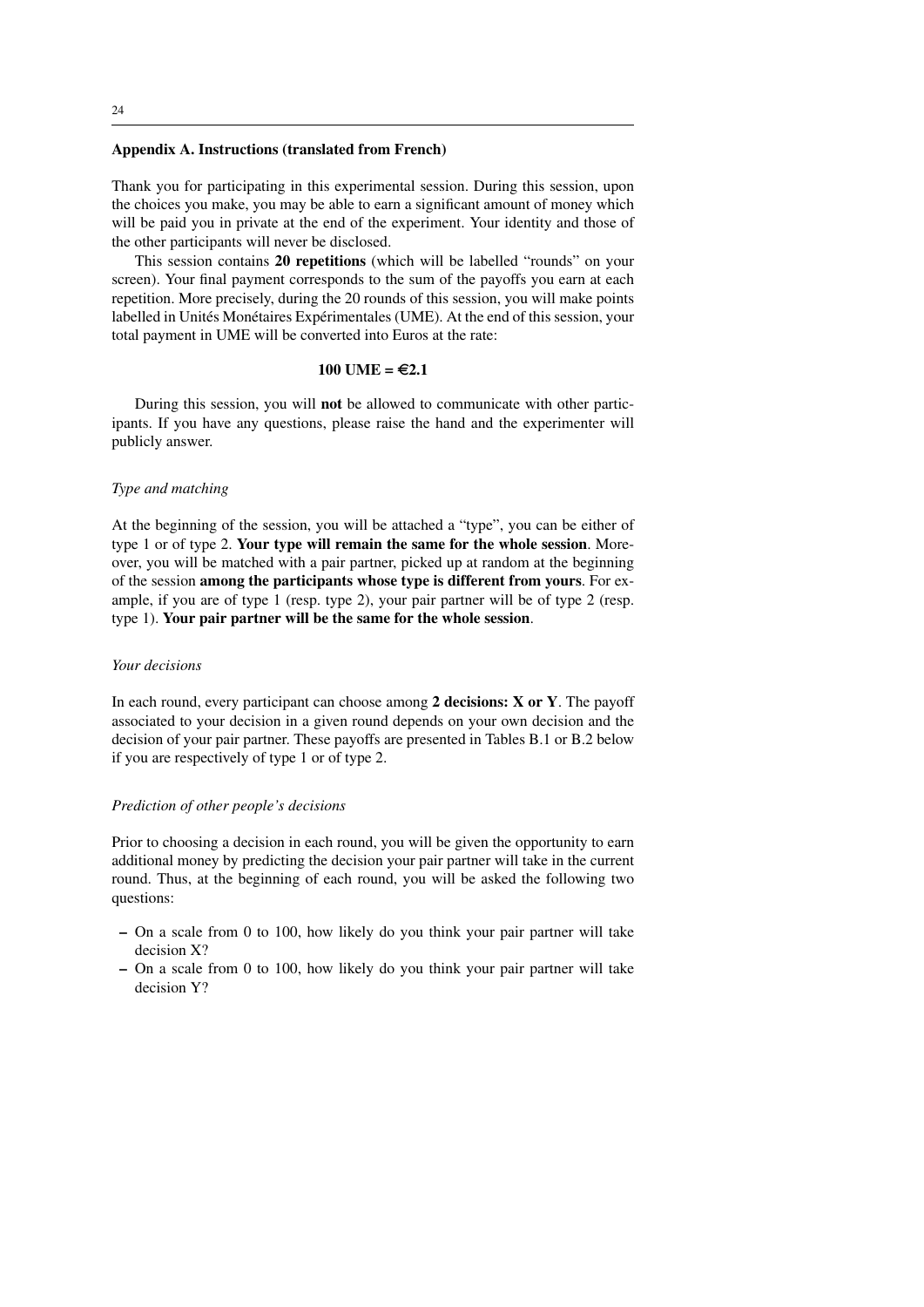### Appendix A. Instructions (translated from French)

Thank you for participating in this experimental session. During this session, upon the choices you make, you may be able to earn a significant amount of money which will be paid you in private at the end of the experiment. Your identity and those of the other participants will never be disclosed.

This session contains 20 repetitions (which will be labelled "rounds" on your screen). Your final payment corresponds to the sum of the payoffs you earn at each repetition. More precisely, during the 20 rounds of this session, you will make points labelled in Unités Monétaires Expérimentales (UME). At the end of this session, your total payment in UME will be converted into Euros at the rate:

### 100 UME = €2.1

During this session, you will not be allowed to communicate with other participants. If you have any questions, please raise the hand and the experimenter will publicly answer.

# *Type and matching*

At the beginning of the session, you will be attached a "type", you can be either of type 1 or of type 2. Your type will remain the same for the whole session. Moreover, you will be matched with a pair partner, picked up at random at the beginning of the session among the participants whose type is different from yours. For example, if you are of type 1 (resp. type 2), your pair partner will be of type 2 (resp. type 1). Your pair partner will be the same for the whole session.

### *Your decisions*

In each round, every participant can choose among  $2$  decisions:  $X$  or  $Y$ . The payoff associated to your decision in a given round depends on your own decision and the decision of your pair partner. These payoffs are presented in Tables B.1 or B.2 below if you are respectively of type 1 or of type 2.

### *Prediction of other people's decisions*

Prior to choosing a decision in each round, you will be given the opportunity to earn additional money by predicting the decision your pair partner will take in the current round. Thus, at the beginning of each round, you will be asked the following two questions:

- On a scale from 0 to 100, how likely do you think your pair partner will take decision X?
- On a scale from 0 to 100, how likely do you think your pair partner will take decision Y?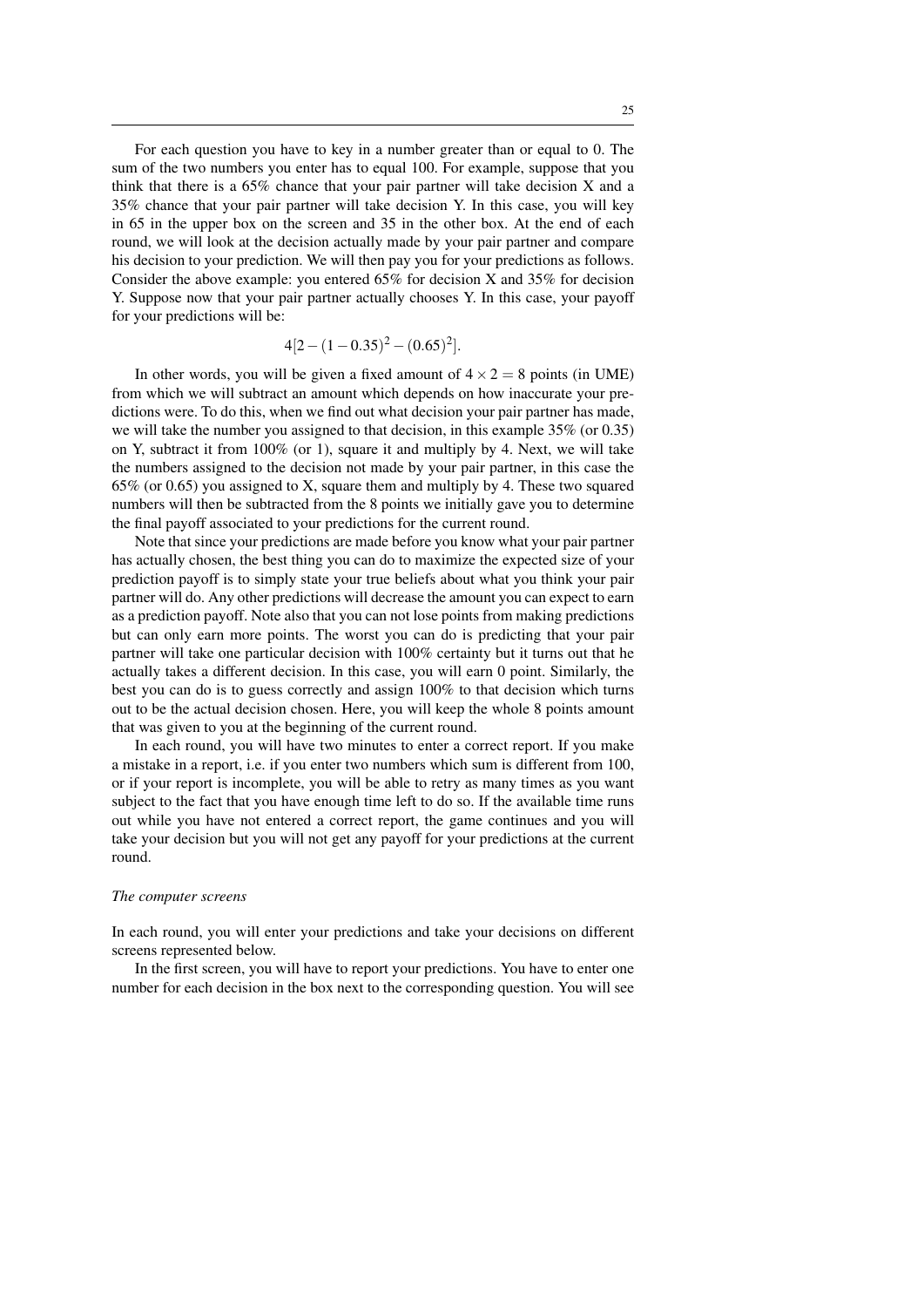For each question you have to key in a number greater than or equal to 0. The sum of the two numbers you enter has to equal 100. For example, suppose that you think that there is a 65% chance that your pair partner will take decision X and a 35% chance that your pair partner will take decision Y. In this case, you will key in 65 in the upper box on the screen and 35 in the other box. At the end of each round, we will look at the decision actually made by your pair partner and compare his decision to your prediction. We will then pay you for your predictions as follows. Consider the above example: you entered 65% for decision X and 35% for decision Y. Suppose now that your pair partner actually chooses Y. In this case, your payoff for your predictions will be:

$$
4[2 - (1 - 0.35)^2 - (0.65)^2].
$$

In other words, you will be given a fixed amount of  $4 \times 2 = 8$  points (in UME) from which we will subtract an amount which depends on how inaccurate your predictions were. To do this, when we find out what decision your pair partner has made, we will take the number you assigned to that decision, in this example 35% (or 0.35) on Y, subtract it from 100% (or 1), square it and multiply by 4. Next, we will take the numbers assigned to the decision not made by your pair partner, in this case the 65% (or 0.65) you assigned to X, square them and multiply by 4. These two squared numbers will then be subtracted from the 8 points we initially gave you to determine the final payoff associated to your predictions for the current round.

Note that since your predictions are made before you know what your pair partner has actually chosen, the best thing you can do to maximize the expected size of your prediction payoff is to simply state your true beliefs about what you think your pair partner will do. Any other predictions will decrease the amount you can expect to earn as a prediction payoff. Note also that you can not lose points from making predictions but can only earn more points. The worst you can do is predicting that your pair partner will take one particular decision with 100% certainty but it turns out that he actually takes a different decision. In this case, you will earn 0 point. Similarly, the best you can do is to guess correctly and assign 100% to that decision which turns out to be the actual decision chosen. Here, you will keep the whole 8 points amount that was given to you at the beginning of the current round.

In each round, you will have two minutes to enter a correct report. If you make a mistake in a report, i.e. if you enter two numbers which sum is different from 100, or if your report is incomplete, you will be able to retry as many times as you want subject to the fact that you have enough time left to do so. If the available time runs out while you have not entered a correct report, the game continues and you will take your decision but you will not get any payoff for your predictions at the current round.

### *The computer screens*

In each round, you will enter your predictions and take your decisions on different screens represented below.

In the first screen, you will have to report your predictions. You have to enter one number for each decision in the box next to the corresponding question. You will see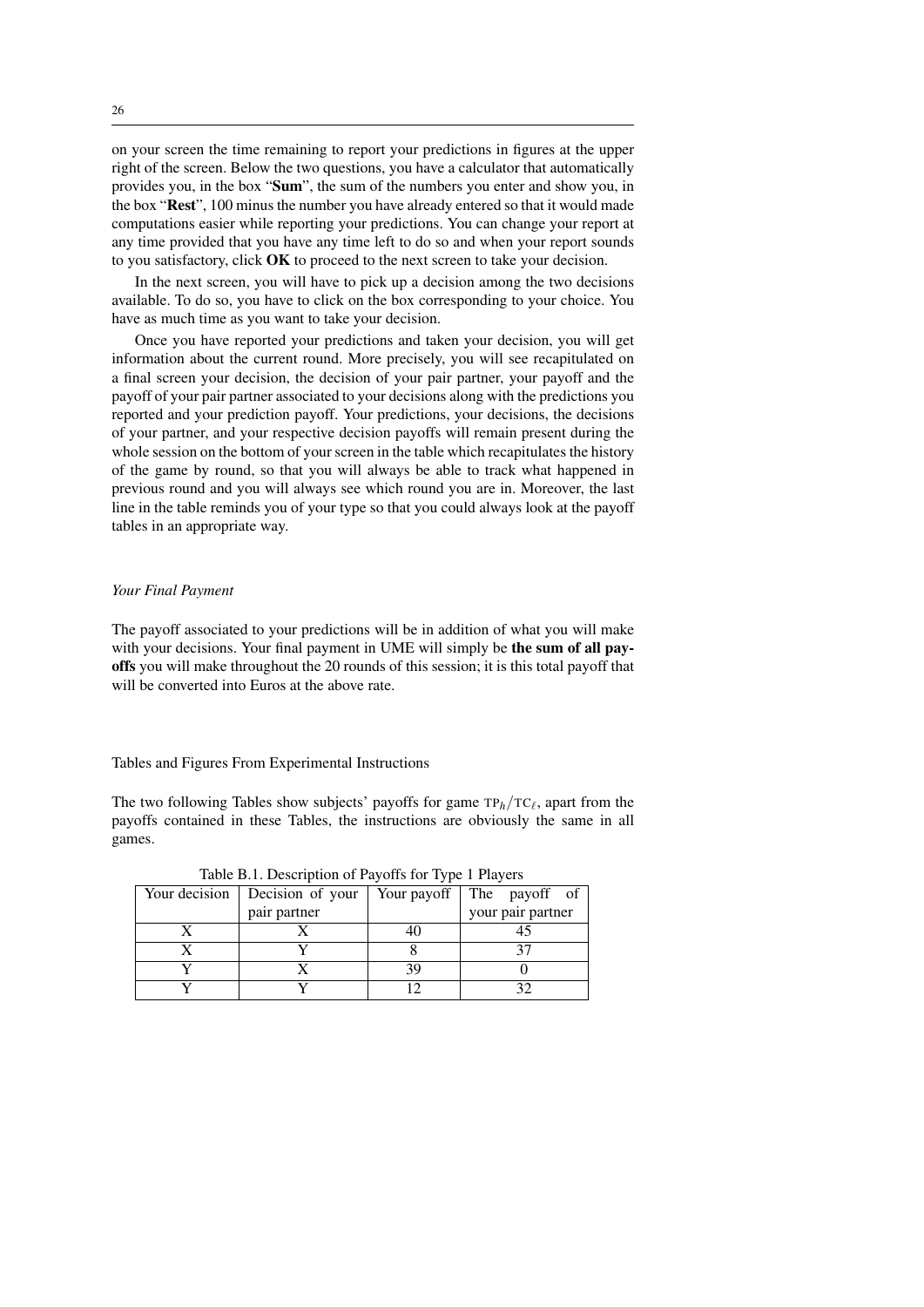on your screen the time remaining to report your predictions in figures at the upper right of the screen. Below the two questions, you have a calculator that automatically provides you, in the box "Sum", the sum of the numbers you enter and show you, in the box "Rest", 100 minus the number you have already entered so that it would made computations easier while reporting your predictions. You can change your report at any time provided that you have any time left to do so and when your report sounds to you satisfactory, click OK to proceed to the next screen to take your decision.

In the next screen, you will have to pick up a decision among the two decisions available. To do so, you have to click on the box corresponding to your choice. You have as much time as you want to take your decision.

Once you have reported your predictions and taken your decision, you will get information about the current round. More precisely, you will see recapitulated on a final screen your decision, the decision of your pair partner, your payoff and the payoff of your pair partner associated to your decisions along with the predictions you reported and your prediction payoff. Your predictions, your decisions, the decisions of your partner, and your respective decision payoffs will remain present during the whole session on the bottom of your screen in the table which recapitulates the history of the game by round, so that you will always be able to track what happened in previous round and you will always see which round you are in. Moreover, the last line in the table reminds you of your type so that you could always look at the payoff tables in an appropriate way.

## *Your Final Payment*

The payoff associated to your predictions will be in addition of what you will make with your decisions. Your final payment in UME will simply be **the sum of all pay**offs you will make throughout the 20 rounds of this session; it is this total payoff that will be converted into Euros at the above rate.

Tables and Figures From Experimental Instructions

The two following Tables show subjects' payoffs for game  $TP_h/TC_\ell$ , apart from the payoffs contained in these Tables, the instructions are obviously the same in all games.

| Your decision | Decision of your | Your payoff $\vert$ | The payoff of     |
|---------------|------------------|---------------------|-------------------|
|               | pair partner     |                     | your pair partner |
|               |                  |                     |                   |
|               |                  |                     |                   |
|               |                  |                     |                   |
|               |                  |                     |                   |

Table B.1. Description of Payoffs for Type 1 Players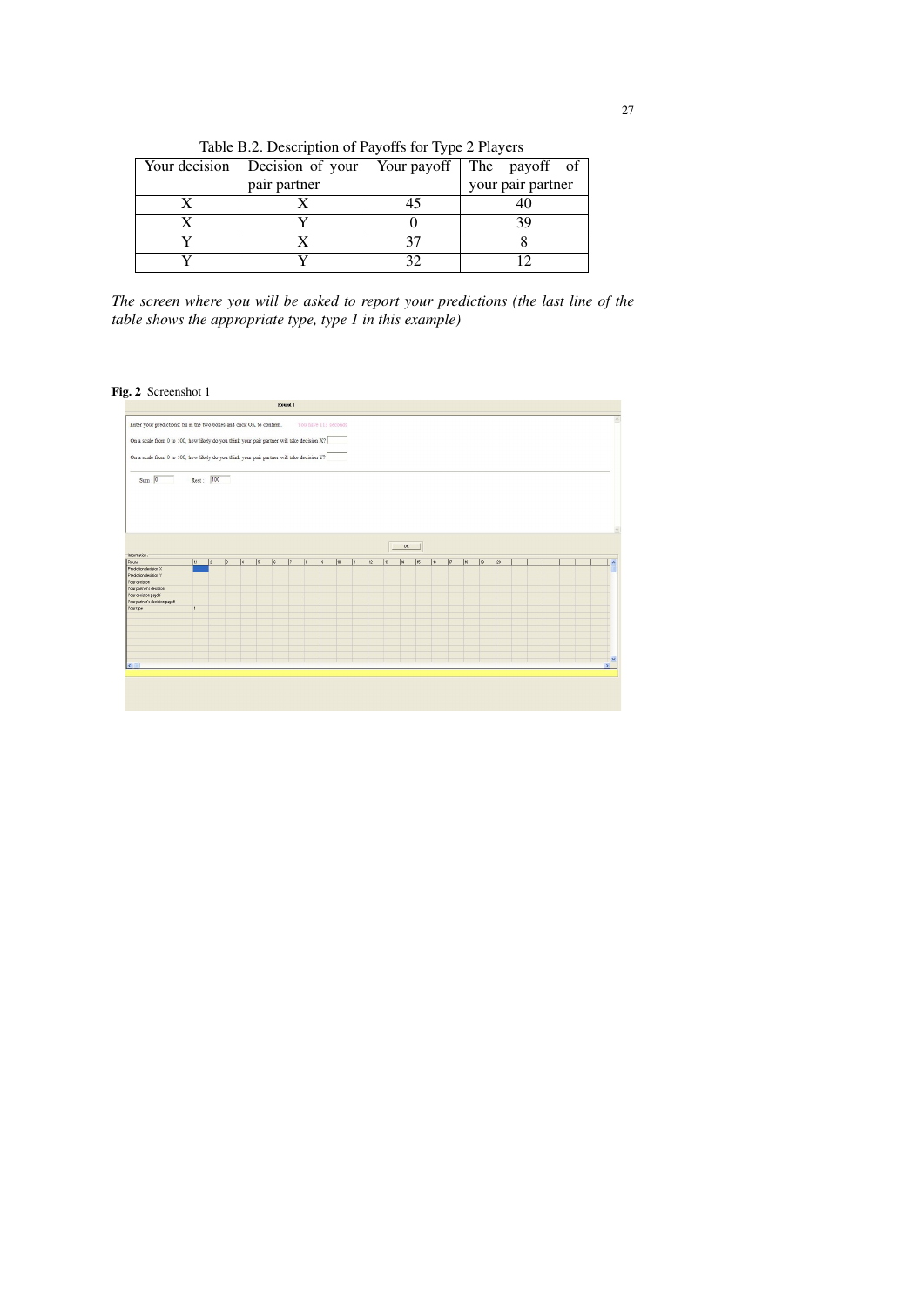|                       | raone D.2. Description of Fayons for Type 2.1 layers |    |                                   |
|-----------------------|------------------------------------------------------|----|-----------------------------------|
| Your decision $\vert$ | Decision of your                                     |    | Your payoff $\vert$ The payoff of |
|                       | pair partner                                         |    | your pair partner                 |
|                       |                                                      | 45 |                                   |
|                       |                                                      |    |                                   |
|                       |                                                      |    |                                   |
|                       |                                                      | 21 |                                   |

Table B.2. Description of Payoffs for Type 2 Players

*The screen where you will be asked to report your predictions (the last line of the table shows the appropriate type, type 1 in this example)*

## Fig. 2 Screenshot 1

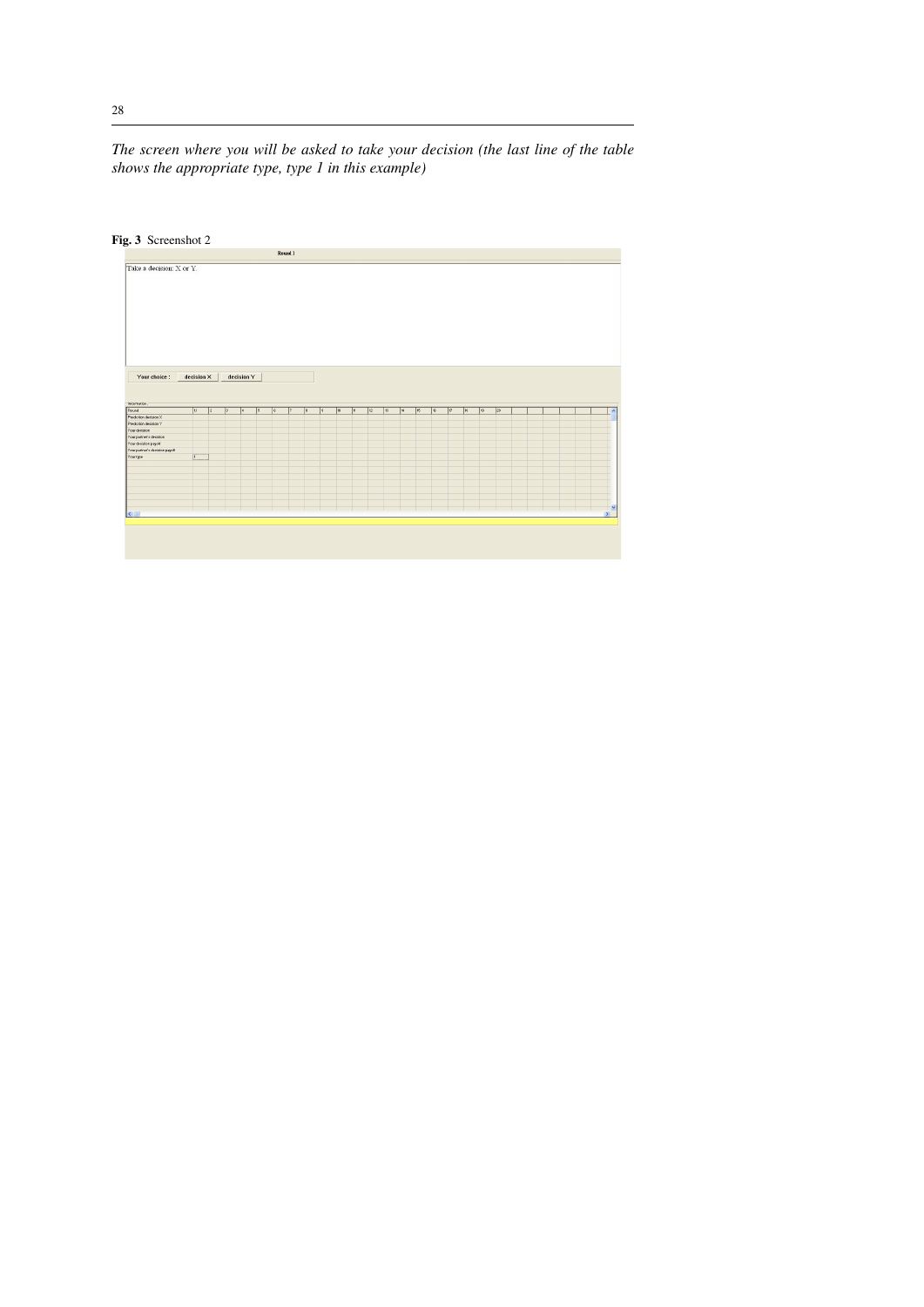*The screen where you will be asked to take your decision (the last line of the table shows the appropriate type, type 1 in this example)*

# Fig. 3 Screenshot 2

| Take a decision: X or Y.                                                                                                                                                                |            |     |     |            |                |     |              |     |         |              |   |   |                |                |   |    |                |   |    |   |  |  |  |                      |
|-----------------------------------------------------------------------------------------------------------------------------------------------------------------------------------------|------------|-----|-----|------------|----------------|-----|--------------|-----|---------|--------------|---|---|----------------|----------------|---|----|----------------|---|----|---|--|--|--|----------------------|
| Your choice:                                                                                                                                                                            | decision X |     |     | decision Y |                |     |              |     |         |              |   |   |                |                |   |    |                |   |    |   |  |  |  |                      |
|                                                                                                                                                                                         | u          | lż. | lə. | $\vert$ 4  | $\overline{5}$ | le. | $\mathbf{z}$ | Te: | $ _{3}$ | $ 10\rangle$ | m | v | $\overline{v}$ | $\overline{1}$ | n | 16 | $\overline{u}$ | n | 19 | z |  |  |  | $\sim$               |
|                                                                                                                                                                                         |            |     |     |            |                |     |              |     |         |              |   |   |                |                |   |    |                |   |    |   |  |  |  |                      |
|                                                                                                                                                                                         |            |     |     |            |                |     |              |     |         |              |   |   |                |                |   |    |                |   |    |   |  |  |  |                      |
|                                                                                                                                                                                         |            |     |     |            |                |     |              |     |         |              |   |   |                |                |   |    |                |   |    |   |  |  |  |                      |
|                                                                                                                                                                                         | $\sqrt{1}$ |     |     |            |                |     |              |     |         |              |   |   |                |                |   |    |                |   |    |   |  |  |  |                      |
|                                                                                                                                                                                         |            |     |     |            |                |     |              |     |         |              |   |   |                |                |   |    |                |   |    |   |  |  |  |                      |
|                                                                                                                                                                                         |            |     |     |            |                |     |              |     |         |              |   |   |                |                |   |    |                |   |    |   |  |  |  |                      |
|                                                                                                                                                                                         |            |     |     |            |                |     |              |     |         |              |   |   |                |                |   |    |                |   |    |   |  |  |  |                      |
|                                                                                                                                                                                         |            |     |     |            |                |     |              |     |         |              |   |   |                |                |   |    |                |   |    |   |  |  |  |                      |
|                                                                                                                                                                                         |            |     |     |            |                |     |              |     |         |              |   |   |                |                |   |    |                |   |    |   |  |  |  |                      |
| hiormation<br>Round<br>Prediction decision X<br>Prediction decision Y<br>Your decision<br>Your partner's decision<br>Your decision pagoff<br>Your partner's decision pagoli<br>Yourtgoe |            |     |     |            |                |     |              |     |         |              |   |   |                |                |   |    |                |   |    |   |  |  |  | $\frac{1}{\sqrt{2}}$ |